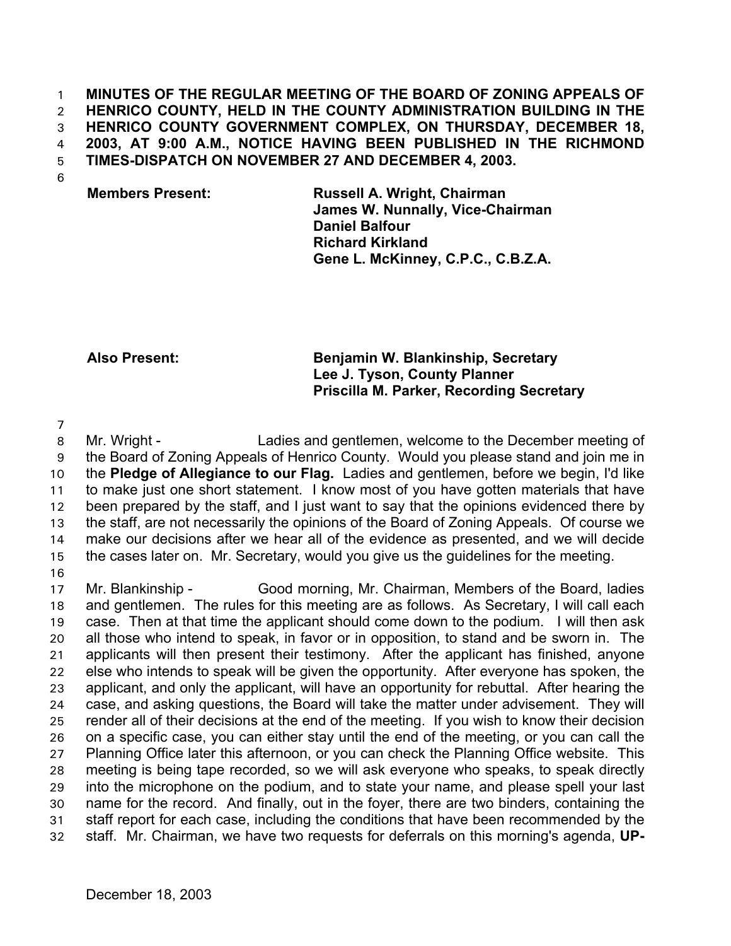#### **MINUTES OF THE REGULAR MEETING OF THE BOARD OF ZONING APPEALS OF HENRICO COUNTY, HELD IN THE COUNTY ADMINISTRATION BUILDING IN THE HENRICO COUNTY GOVERNMENT COMPLEX, ON THURSDAY, DECEMBER 18, 2003, AT 9:00 A.M., NOTICE HAVING BEEN PUBLISHED IN THE RICHMOND TIMES-DISPATCH ON NOVEMBER 27 AND DECEMBER 4, 2003.**  1 2 3 4 5

6

## **Members Present: Russell A. Wright, Chairman James W. Nunnally, Vice-Chairman Daniel Balfour Richard Kirkland Gene L. McKinney, C.P.C., C.B.Z.A.**

## **Also Present: Benjamin W. Blankinship, Secretary Lee J. Tyson, County Planner Priscilla M. Parker, Recording Secretary**

7

8 9 10 11 12 13 14 15 16 Mr. Wright - Ladies and gentlemen, welcome to the December meeting of the Board of Zoning Appeals of Henrico County. Would you please stand and join me in the **Pledge of Allegiance to our Flag.** Ladies and gentlemen, before we begin, I'd like to make just one short statement. I know most of you have gotten materials that have been prepared by the staff, and I just want to say that the opinions evidenced there by the staff, are not necessarily the opinions of the Board of Zoning Appeals. Of course we make our decisions after we hear all of the evidence as presented, and we will decide the cases later on. Mr. Secretary, would you give us the guidelines for the meeting.

17 18 19 20 21 22 23 24 25 26 27 28 29 30 31 32 Mr. Blankinship - Good morning, Mr. Chairman, Members of the Board, ladies and gentlemen. The rules for this meeting are as follows. As Secretary, I will call each case. Then at that time the applicant should come down to the podium. I will then ask all those who intend to speak, in favor or in opposition, to stand and be sworn in. The applicants will then present their testimony. After the applicant has finished, anyone else who intends to speak will be given the opportunity. After everyone has spoken, the applicant, and only the applicant, will have an opportunity for rebuttal. After hearing the case, and asking questions, the Board will take the matter under advisement. They will render all of their decisions at the end of the meeting. If you wish to know their decision on a specific case, you can either stay until the end of the meeting, or you can call the Planning Office later this afternoon, or you can check the Planning Office website. This meeting is being tape recorded, so we will ask everyone who speaks, to speak directly into the microphone on the podium, and to state your name, and please spell your last name for the record. And finally, out in the foyer, there are two binders, containing the staff report for each case, including the conditions that have been recommended by the staff. Mr. Chairman, we have two requests for deferrals on this morning's agenda, **UP-**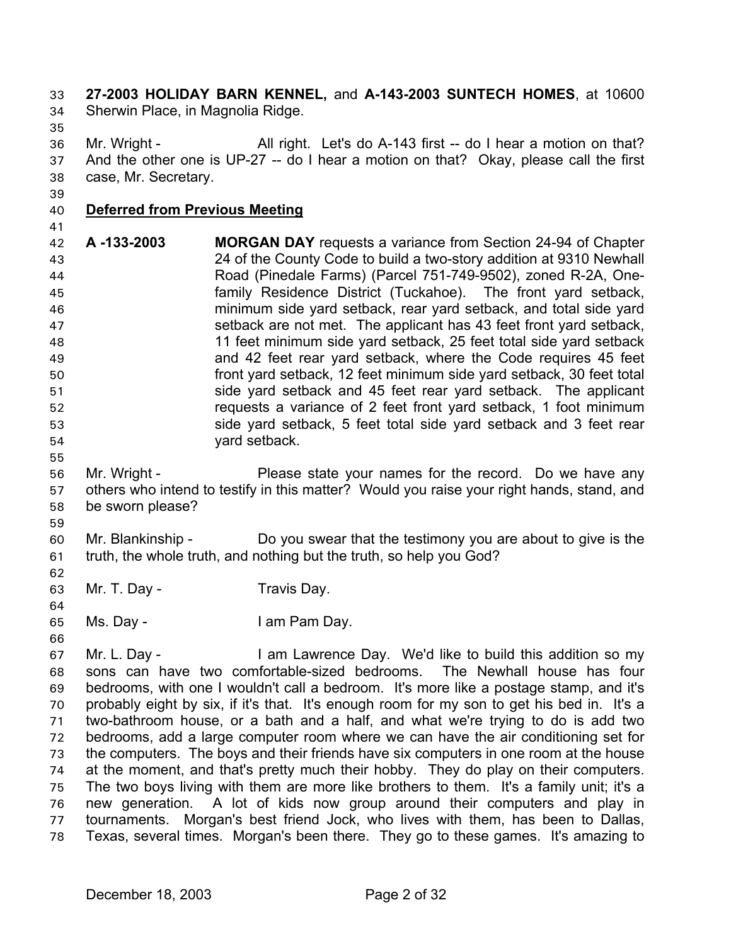**27-2003 HOLIDAY BARN KENNEL,** and **A-143-2003 SUNTECH HOMES**, at 10600 Sherwin Place, in Magnolia Ridge. 33 34

35

36 37 38 Mr. Wright - All right. Let's do A-143 first -- do I hear a motion on that? And the other one is UP-27 -- do I hear a motion on that? Okay, please call the first case, Mr. Secretary.

39

# 40 **Deferred from Previous Meeting**

41

42 43 44 45 46 47 48 49 50 51 52 53 54 **A -133-2003 MORGAN DAY** requests a variance from Section 24-94 of Chapter 24 of the County Code to build a two-story addition at 9310 Newhall Road (Pinedale Farms) (Parcel 751-749-9502), zoned R-2A, Onefamily Residence District (Tuckahoe). The front yard setback, minimum side yard setback, rear yard setback, and total side yard setback are not met. The applicant has 43 feet front yard setback, 11 feet minimum side yard setback, 25 feet total side yard setback and 42 feet rear yard setback, where the Code requires 45 feet front yard setback, 12 feet minimum side yard setback, 30 feet total side yard setback and 45 feet rear yard setback. The applicant requests a variance of 2 feet front yard setback, 1 foot minimum side yard setback, 5 feet total side yard setback and 3 feet rear yard setback.

- 56 57 58 Mr. Wright - Please state your names for the record. Do we have any others who intend to testify in this matter? Would you raise your right hands, stand, and be sworn please?
- 60 61 Mr. Blankinship - Do you swear that the testimony you are about to give is the truth, the whole truth, and nothing but the truth, so help you God?
- 63 Mr. T. Day - Travis Day.
- 65 Ms. Day - The Music Lam Pam Day.
- 66

55

59

62

64

67 68 69 70 71 72 73 74 75 76 77 78 Mr. L. Day - I am Lawrence Day. We'd like to build this addition so my sons can have two comfortable-sized bedrooms. The Newhall house has four bedrooms, with one I wouldn't call a bedroom. It's more like a postage stamp, and it's probably eight by six, if it's that. It's enough room for my son to get his bed in. It's a two-bathroom house, or a bath and a half, and what we're trying to do is add two bedrooms, add a large computer room where we can have the air conditioning set for the computers. The boys and their friends have six computers in one room at the house at the moment, and that's pretty much their hobby. They do play on their computers. The two boys living with them are more like brothers to them. It's a family unit; it's a new generation. A lot of kids now group around their computers and play in tournaments. Morgan's best friend Jock, who lives with them, has been to Dallas, Texas, several times. Morgan's been there. They go to these games. It's amazing to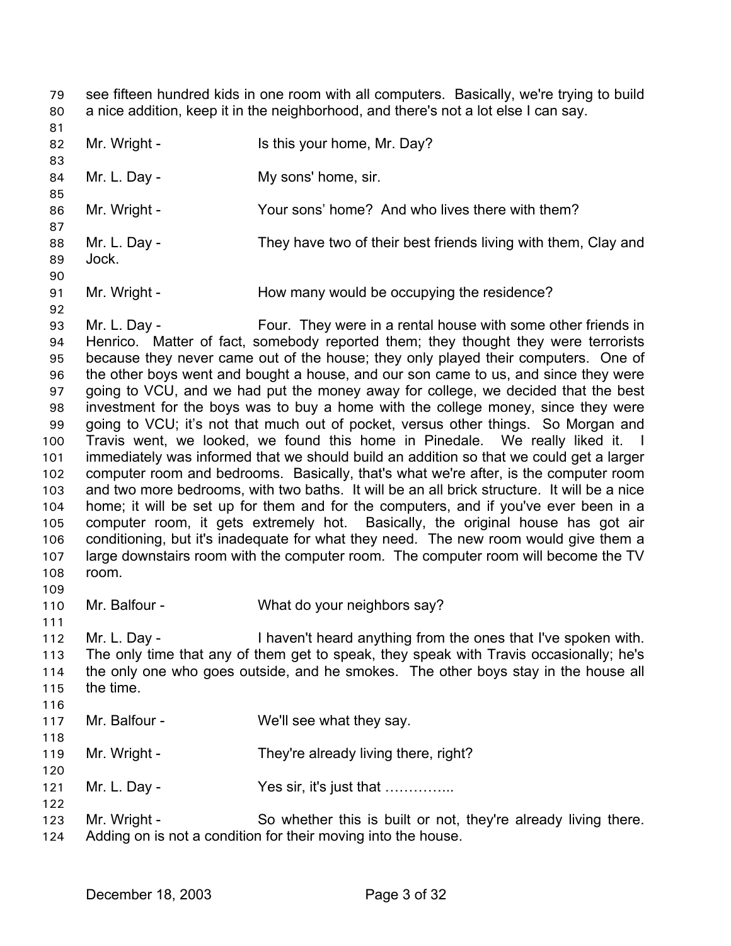see fifteen hundred kids in one room with all computers. Basically, we're trying to build a nice addition, keep it in the neighborhood, and there's not a lot else I can say. 79 80

81 82 83 84 85 86 87 88 89 90 91 92 93 94 95 96 97 98 99 100 101 102 103 104 105 106 107 108 109 Mr. Wright - Is this your home, Mr. Day? Mr. L. Day - My sons' home, sir. Mr. Wright - The Your sons' home? And who lives there with them? Mr. L. Day - They have two of their best friends living with them, Clay and Jock. Mr. Wright - The How many would be occupying the residence? Mr. L. Day - Four. They were in a rental house with some other friends in Henrico. Matter of fact, somebody reported them; they thought they were terrorists because they never came out of the house; they only played their computers. One of the other boys went and bought a house, and our son came to us, and since they were going to VCU, and we had put the money away for college, we decided that the best investment for the boys was to buy a home with the college money, since they were going to VCU; it's not that much out of pocket, versus other things. So Morgan and Travis went, we looked, we found this home in Pinedale. We really liked it. I immediately was informed that we should build an addition so that we could get a larger computer room and bedrooms. Basically, that's what we're after, is the computer room and two more bedrooms, with two baths. It will be an all brick structure. It will be a nice home; it will be set up for them and for the computers, and if you've ever been in a computer room, it gets extremely hot. Basically, the original house has got air conditioning, but it's inadequate for what they need. The new room would give them a large downstairs room with the computer room. The computer room will become the TV room.

- 110 Mr. Balfour - What do your neighbors say?
- 111

118

122

- 112 113 114 115 116 Mr. L. Day - I haven't heard anything from the ones that I've spoken with. The only time that any of them get to speak, they speak with Travis occasionally; he's the only one who goes outside, and he smokes. The other boys stay in the house all the time.
- 117 Mr. Balfour - We'll see what they say.
- 119 120 Mr. Wright - They're already living there, right?
- 121 Mr. L. Day - Yes sir, it's just that ................
- 123 124 Mr. Wright - So whether this is built or not, they're already living there. Adding on is not a condition for their moving into the house.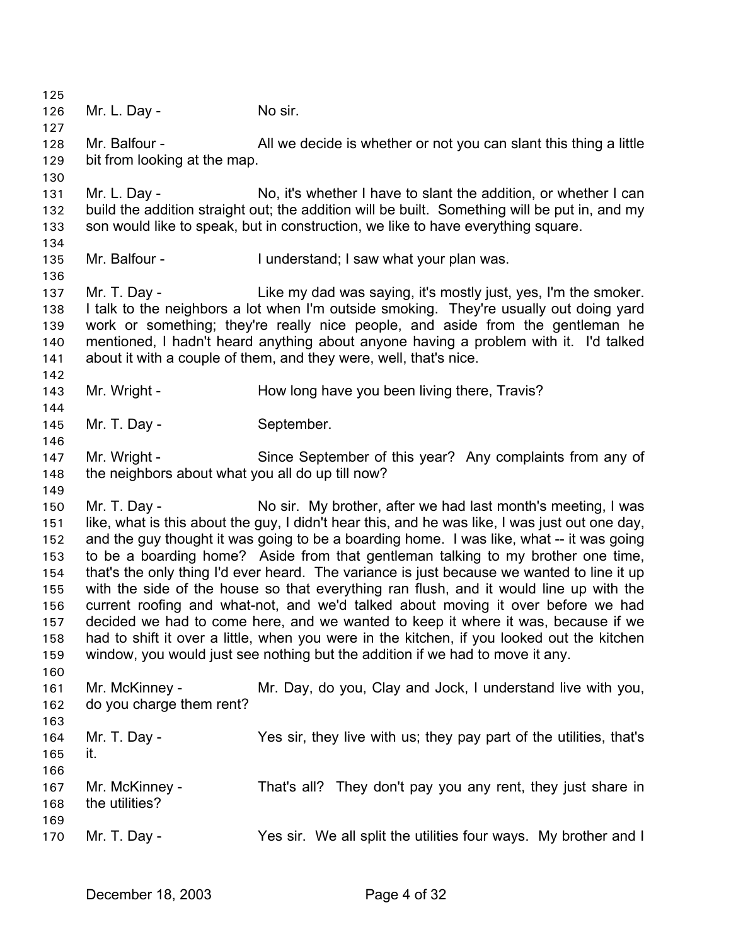125 126 127 128 129 130 131 132 133 134 135 136 137 138 139 140 141 142 143 144 145 146 147 148 149 150 151 152 153 154 155 156 157 158 159 160 161 162 163 164 165 166 167 168 169 170 Mr. L. Day - No sir. Mr. Balfour - All we decide is whether or not you can slant this thing a little bit from looking at the map. Mr. L. Day - No, it's whether I have to slant the addition, or whether I can build the addition straight out; the addition will be built. Something will be put in, and my son would like to speak, but in construction, we like to have everything square. Mr. Balfour - I understand; I saw what your plan was. Mr. T. Day - Like my dad was saying, it's mostly just, yes, I'm the smoker. I talk to the neighbors a lot when I'm outside smoking. They're usually out doing yard work or something; they're really nice people, and aside from the gentleman he mentioned, I hadn't heard anything about anyone having a problem with it. I'd talked about it with a couple of them, and they were, well, that's nice. Mr. Wright - The How long have you been living there, Travis? Mr. T. Day - September. Mr. Wright - Since September of this year? Any complaints from any of the neighbors about what you all do up till now? Mr. T. Day - No sir. My brother, after we had last month's meeting, I was like, what is this about the guy, I didn't hear this, and he was like, I was just out one day, and the guy thought it was going to be a boarding home. I was like, what -- it was going to be a boarding home? Aside from that gentleman talking to my brother one time, that's the only thing I'd ever heard. The variance is just because we wanted to line it up with the side of the house so that everything ran flush, and it would line up with the current roofing and what-not, and we'd talked about moving it over before we had decided we had to come here, and we wanted to keep it where it was, because if we had to shift it over a little, when you were in the kitchen, if you looked out the kitchen window, you would just see nothing but the addition if we had to move it any. Mr. McKinney - The Mr. Day, do you, Clay and Jock, I understand live with you, do you charge them rent? Mr. T. Day - The Sir, they live with us; they pay part of the utilities, that's it. Mr. McKinney - That's all? They don't pay you any rent, they just share in the utilities? Mr. T. Day - Yes sir. We all split the utilities four ways. My brother and I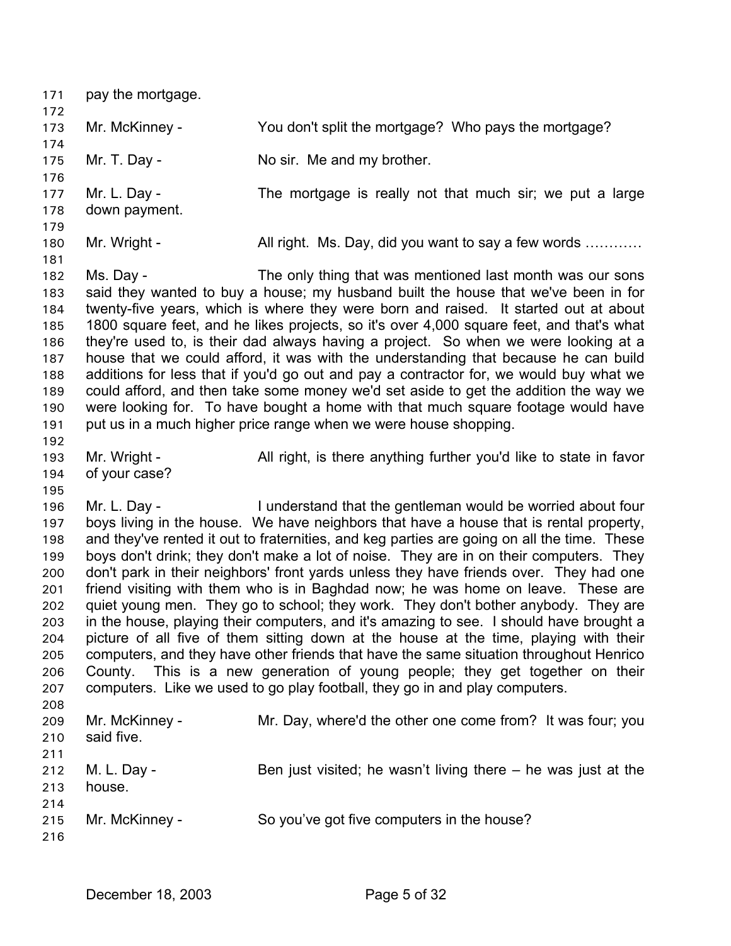| 171<br>172                                                                              | pay the mortgage.             |                                                                                                                                                                                                                                                                                                                                                                                                                                                                                                                                                                                                                                                                                                                                                                                                                                                                                                                                                                                                                                                         |
|-----------------------------------------------------------------------------------------|-------------------------------|---------------------------------------------------------------------------------------------------------------------------------------------------------------------------------------------------------------------------------------------------------------------------------------------------------------------------------------------------------------------------------------------------------------------------------------------------------------------------------------------------------------------------------------------------------------------------------------------------------------------------------------------------------------------------------------------------------------------------------------------------------------------------------------------------------------------------------------------------------------------------------------------------------------------------------------------------------------------------------------------------------------------------------------------------------|
| 173<br>174                                                                              | Mr. McKinney -                | You don't split the mortgage? Who pays the mortgage?                                                                                                                                                                                                                                                                                                                                                                                                                                                                                                                                                                                                                                                                                                                                                                                                                                                                                                                                                                                                    |
| 175                                                                                     | Mr. T. Day -                  | No sir. Me and my brother.                                                                                                                                                                                                                                                                                                                                                                                                                                                                                                                                                                                                                                                                                                                                                                                                                                                                                                                                                                                                                              |
| 176<br>177<br>178<br>179                                                                | Mr. L. Day -<br>down payment. | The mortgage is really not that much sir; we put a large                                                                                                                                                                                                                                                                                                                                                                                                                                                                                                                                                                                                                                                                                                                                                                                                                                                                                                                                                                                                |
| 180<br>181                                                                              | Mr. Wright -                  | All right. Ms. Day, did you want to say a few words                                                                                                                                                                                                                                                                                                                                                                                                                                                                                                                                                                                                                                                                                                                                                                                                                                                                                                                                                                                                     |
| 182<br>183<br>184<br>185<br>186<br>187<br>188<br>189<br>190<br>191<br>192               | Ms. Day -                     | The only thing that was mentioned last month was our sons<br>said they wanted to buy a house; my husband built the house that we've been in for<br>twenty-five years, which is where they were born and raised. It started out at about<br>1800 square feet, and he likes projects, so it's over 4,000 square feet, and that's what<br>they're used to, is their dad always having a project. So when we were looking at a<br>house that we could afford, it was with the understanding that because he can build<br>additions for less that if you'd go out and pay a contractor for, we would buy what we<br>could afford, and then take some money we'd set aside to get the addition the way we<br>were looking for. To have bought a home with that much square footage would have<br>put us in a much higher price range when we were house shopping.                                                                                                                                                                                             |
| 193<br>194<br>195                                                                       | Mr. Wright -<br>of your case? | All right, is there anything further you'd like to state in favor                                                                                                                                                                                                                                                                                                                                                                                                                                                                                                                                                                                                                                                                                                                                                                                                                                                                                                                                                                                       |
| 196<br>197<br>198<br>199<br>200<br>201<br>202<br>203<br>204<br>205<br>206<br>207<br>208 | Mr. L. Day -<br>County.       | I understand that the gentleman would be worried about four<br>boys living in the house. We have neighbors that have a house that is rental property,<br>and they've rented it out to fraternities, and keg parties are going on all the time. These<br>boys don't drink; they don't make a lot of noise. They are in on their computers. They<br>don't park in their neighbors' front yards unless they have friends over. They had one<br>friend visiting with them who is in Baghdad now; he was home on leave. These are<br>quiet young men. They go to school; they work. They don't bother anybody. They are<br>in the house, playing their computers, and it's amazing to see. I should have brought a<br>picture of all five of them sitting down at the house at the time, playing with their<br>computers, and they have other friends that have the same situation throughout Henrico<br>This is a new generation of young people; they get together on their<br>computers. Like we used to go play football, they go in and play computers. |
| 209<br>210<br>211                                                                       | Mr. McKinney -<br>said five.  | Mr. Day, where'd the other one come from? It was four; you                                                                                                                                                                                                                                                                                                                                                                                                                                                                                                                                                                                                                                                                                                                                                                                                                                                                                                                                                                                              |
| 212<br>213<br>214                                                                       | M. L. Day -<br>house.         | Ben just visited; he wasn't living there $-$ he was just at the                                                                                                                                                                                                                                                                                                                                                                                                                                                                                                                                                                                                                                                                                                                                                                                                                                                                                                                                                                                         |
| 215<br>216                                                                              | Mr. McKinney -                | So you've got five computers in the house?                                                                                                                                                                                                                                                                                                                                                                                                                                                                                                                                                                                                                                                                                                                                                                                                                                                                                                                                                                                                              |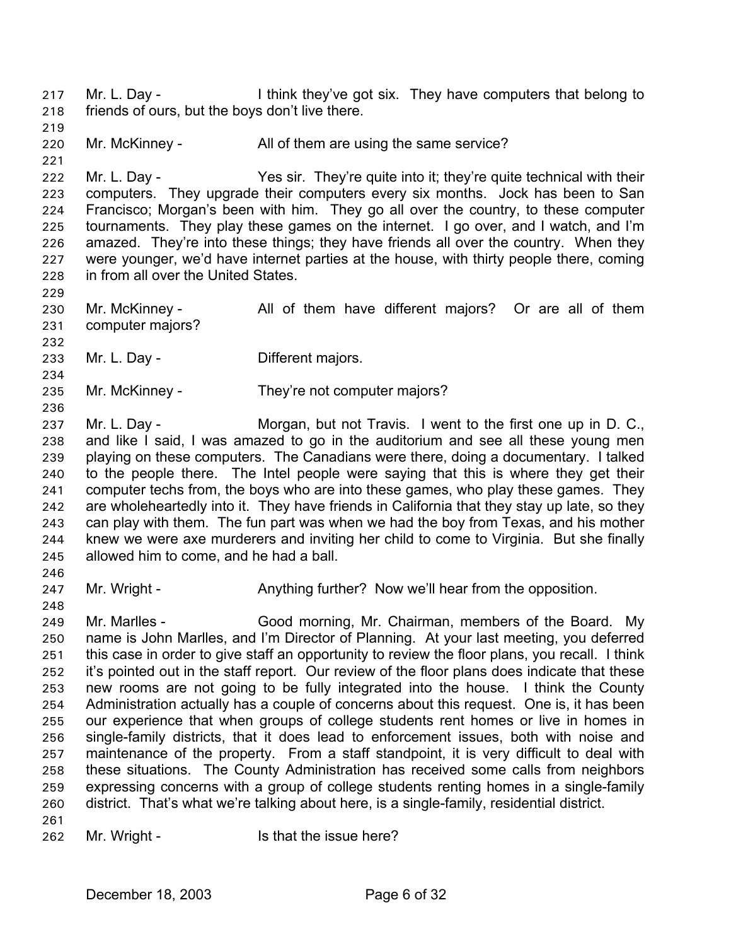Mr. L. Day - I think they've got six. They have computers that belong to friends of ours, but the boys don't live there. 217 218

219 220 Mr. McKinney - All of them are using the same service?

222 223 224 225 226 227 228 Mr. L. Day - Yes sir. They're quite into it; they're quite technical with their computers. They upgrade their computers every six months. Jock has been to San Francisco; Morgan's been with him. They go all over the country, to these computer tournaments. They play these games on the internet. I go over, and I watch, and I'm amazed. They're into these things; they have friends all over the country. When they were younger, we'd have internet parties at the house, with thirty people there, coming in from all over the United States.

230 231 232 Mr. McKinney - All of them have different majors? Or are all of them computer majors?

233 Mr. L. Day - **Different majors.** 

235 Mr. McKinney - They're not computer majors?

237 238 239 240 241 242 243 244 245 246 Mr. L. Day - The Morgan, but not Travis. I went to the first one up in D. C., and like I said, I was amazed to go in the auditorium and see all these young men playing on these computers. The Canadians were there, doing a documentary. I talked to the people there. The Intel people were saying that this is where they get their computer techs from, the boys who are into these games, who play these games. They are wholeheartedly into it. They have friends in California that they stay up late, so they can play with them. The fun part was when we had the boy from Texas, and his mother knew we were axe murderers and inviting her child to come to Virginia. But she finally allowed him to come, and he had a ball.

247 Mr. Wright - Anything further? Now we'll hear from the opposition.

249 250 251 252 253 254 255 256 257 258 259 260 Mr. Marlles - Good morning, Mr. Chairman, members of the Board. My name is John Marlles, and I'm Director of Planning. At your last meeting, you deferred this case in order to give staff an opportunity to review the floor plans, you recall. I think it's pointed out in the staff report. Our review of the floor plans does indicate that these new rooms are not going to be fully integrated into the house. I think the County Administration actually has a couple of concerns about this request. One is, it has been our experience that when groups of college students rent homes or live in homes in single-family districts, that it does lead to enforcement issues, both with noise and maintenance of the property. From a staff standpoint, it is very difficult to deal with these situations. The County Administration has received some calls from neighbors expressing concerns with a group of college students renting homes in a single-family district. That's what we're talking about here, is a single-family, residential district.

261

221

229

234

236

248

262 Mr. Wright - Is that the issue here?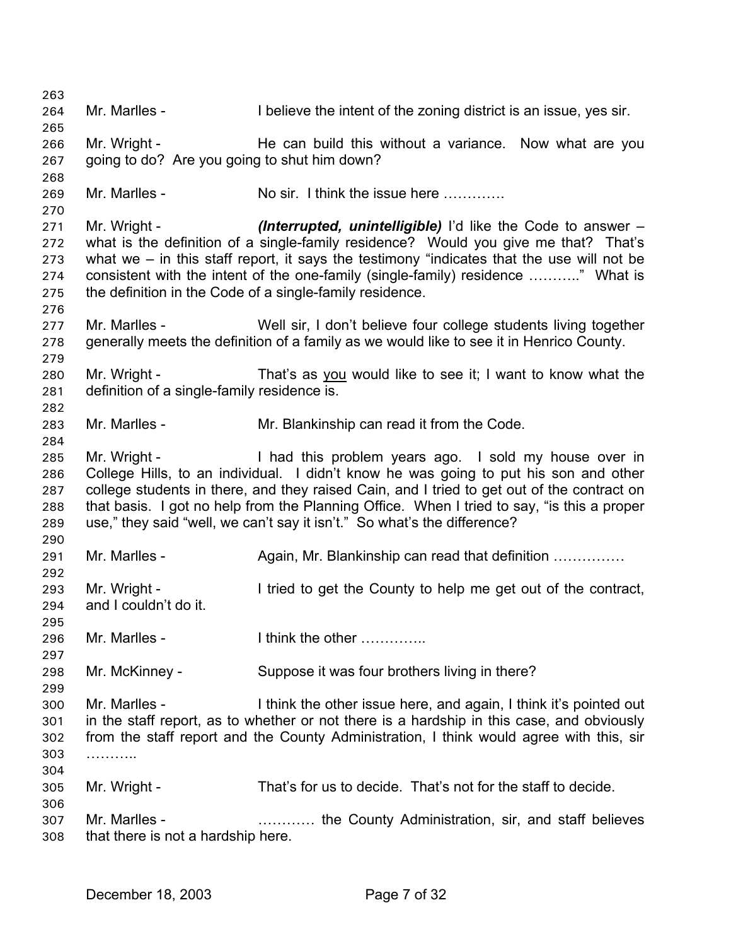263 264 265 266 267 268 269 270 271 272 273 274 275 276 277 278 279 Mr. Marlles - I believe the intent of the zoning district is an issue, yes sir. Mr. Wright - The can build this without a variance. Now what are you going to do? Are you going to shut him down? Mr. Marlles - No sir. I think the issue here …………. Mr. Wright - *(Interrupted, unintelligible)* I'd like the Code to answer – what is the definition of a single-family residence? Would you give me that? That's what we – in this staff report, it says the testimony "indicates that the use will not be consistent with the intent of the one-family (single-family) residence ……….." What is the definition in the Code of a single-family residence. Mr. Marlles - Well sir, I don't believe four college students living together generally meets the definition of a family as we would like to see it in Henrico County. Mr. Wright - That's as you would like to see it; I want to know what the definition of a single-family residence is. 280 281 282 283 284 285 286 287 288 289 290 291 292 293 294 295 296 297 298 299 300 301 302 303 304 305 306 307 308 Mr. Marlles - Mr. Blankinship can read it from the Code. Mr. Wright - Thad this problem years ago. I sold my house over in College Hills, to an individual. I didn't know he was going to put his son and other college students in there, and they raised Cain, and I tried to get out of the contract on that basis. I got no help from the Planning Office. When I tried to say, "is this a proper use," they said "well, we can't say it isn't." So what's the difference? Mr. Marlles - Again, Mr. Blankinship can read that definition .................. Mr. Wright - I tried to get the County to help me get out of the contract, and I couldn't do it. Mr. Marlles - Think the other ………….. Mr. McKinney - Suppose it was four brothers living in there? Mr. Marlles - I think the other issue here, and again, I think it's pointed out in the staff report, as to whether or not there is a hardship in this case, and obviously from the staff report and the County Administration, I think would agree with this, sir ……….. Mr. Wright - That's for us to decide. That's not for the staff to decide. Mr. Marlles - **Example 2.1.** Entertainment County Administration, sir, and staff believes that there is not a hardship here.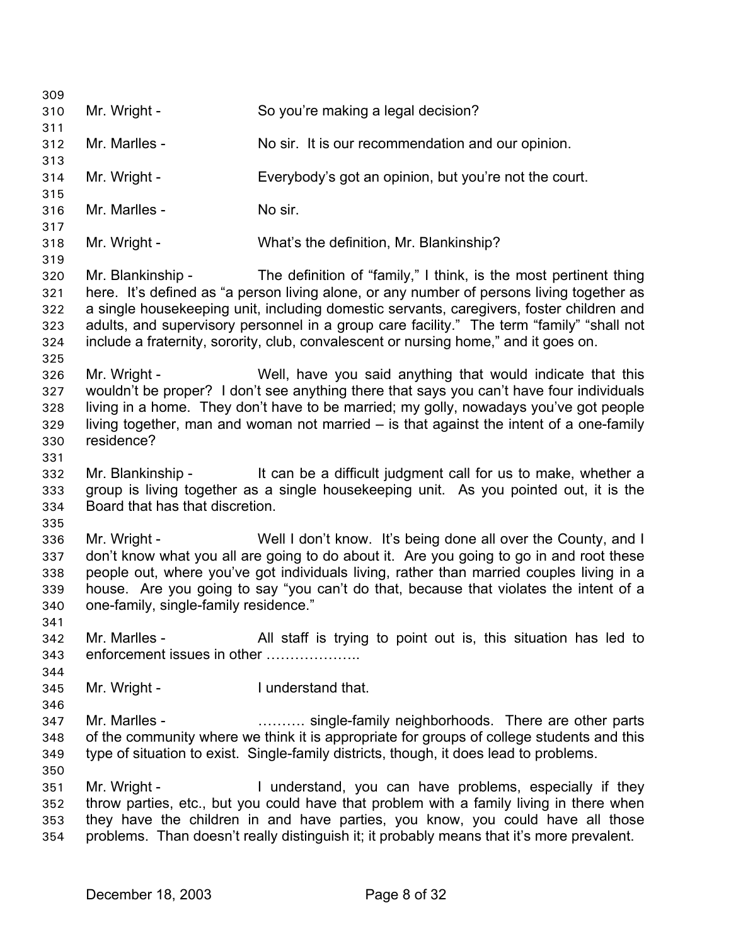309 310 311 312 313 314 315 316 317 318 319 320 321 322 323 324 325 326 327 328 329 330 331 332 333 334 335 336 337 338 339 340 341 342 343 344 345 346 347 348 349 350 351 352 353 354 Mr. Wright - So you're making a legal decision? Mr. Marlles - No sir. It is our recommendation and our opinion. Mr. Wright - Everybody's got an opinion, but you're not the court. Mr. Marlles - No sir. Mr. Wright - What's the definition, Mr. Blankinship? Mr. Blankinship - The definition of "family," I think, is the most pertinent thing here. It's defined as "a person living alone, or any number of persons living together as a single housekeeping unit, including domestic servants, caregivers, foster children and adults, and supervisory personnel in a group care facility." The term "family" "shall not include a fraternity, sorority, club, convalescent or nursing home," and it goes on. Mr. Wright - Well, have you said anything that would indicate that this wouldn't be proper? I don't see anything there that says you can't have four individuals living in a home. They don't have to be married; my golly, nowadays you've got people living together, man and woman not married – is that against the intent of a one-family residence? Mr. Blankinship - It can be a difficult judgment call for us to make, whether a group is living together as a single housekeeping unit. As you pointed out, it is the Board that has that discretion. Mr. Wright - Well I don't know. It's being done all over the County, and I don't know what you all are going to do about it. Are you going to go in and root these people out, where you've got individuals living, rather than married couples living in a house. Are you going to say "you can't do that, because that violates the intent of a one-family, single-family residence." Mr. Marlles - All staff is trying to point out is, this situation has led to enforcement issues in other ………………… Mr. Wright - The I understand that. Mr. Marlles - ………. single-family neighborhoods. There are other parts of the community where we think it is appropriate for groups of college students and this type of situation to exist. Single-family districts, though, it does lead to problems. Mr. Wright - The Munderstand, you can have problems, especially if they throw parties, etc., but you could have that problem with a family living in there when they have the children in and have parties, you know, you could have all those problems. Than doesn't really distinguish it; it probably means that it's more prevalent.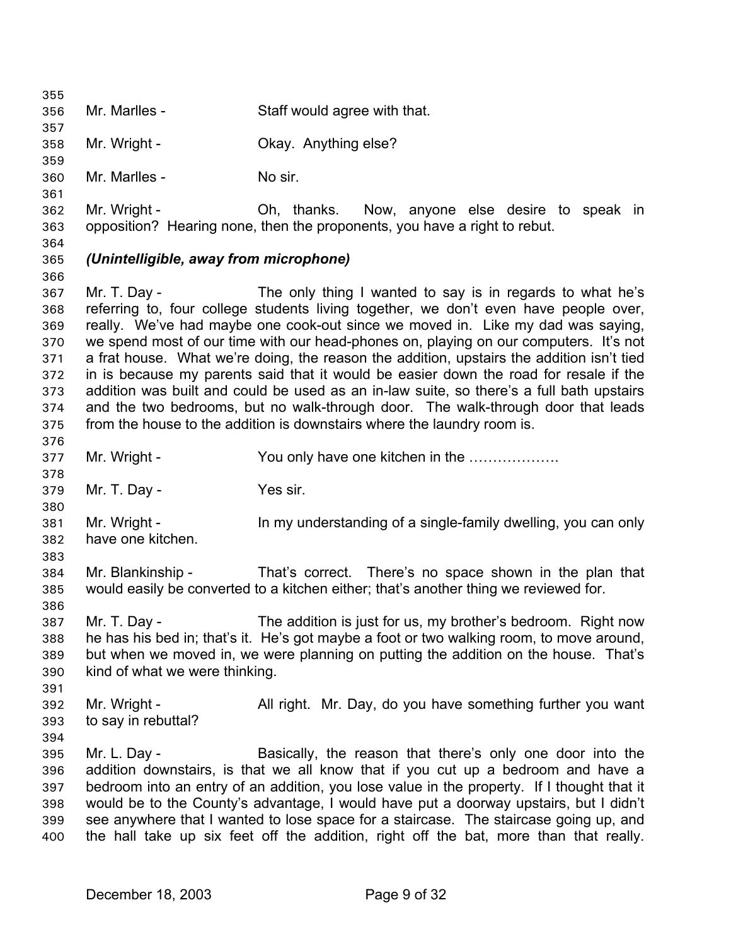355 356 357 358 359 360 361 362 363 364 365 366 367 368 369 370 371 372 373 374 375 376 377 378 379 380 381 382 383 384 385 386 387 388 389 390 391 392 393 394 395 396 397 398 399 400 Mr. Marlles - Staff would agree with that. Mr. Wright - Ckay. Anything else? Mr. Marlles - No sir. Mr. Wright - Ch, thanks. Now, anyone else desire to speak in opposition? Hearing none, then the proponents, you have a right to rebut. *(Unintelligible, away from microphone)*  Mr. T. Day - The only thing I wanted to say is in regards to what he's referring to, four college students living together, we don't even have people over, really. We've had maybe one cook-out since we moved in. Like my dad was saying, we spend most of our time with our head-phones on, playing on our computers. It's not a frat house. What we're doing, the reason the addition, upstairs the addition isn't tied in is because my parents said that it would be easier down the road for resale if the addition was built and could be used as an in-law suite, so there's a full bath upstairs and the two bedrooms, but no walk-through door. The walk-through door that leads from the house to the addition is downstairs where the laundry room is. Mr. Wright - The State of You only have one kitchen in the ……………… Mr. T. Day - Yes sir. Mr. Wright - In my understanding of a single-family dwelling, you can only have one kitchen. Mr. Blankinship - That's correct. There's no space shown in the plan that would easily be converted to a kitchen either; that's another thing we reviewed for. Mr. T. Day - The addition is just for us, my brother's bedroom. Right now he has his bed in; that's it. He's got maybe a foot or two walking room, to move around, but when we moved in, we were planning on putting the addition on the house. That's kind of what we were thinking. Mr. Wright - All right. Mr. Day, do you have something further you want to say in rebuttal? Mr. L. Day - Basically, the reason that there's only one door into the addition downstairs, is that we all know that if you cut up a bedroom and have a bedroom into an entry of an addition, you lose value in the property. If I thought that it would be to the County's advantage, I would have put a doorway upstairs, but I didn't see anywhere that I wanted to lose space for a staircase. The staircase going up, and the hall take up six feet off the addition, right off the bat, more than that really.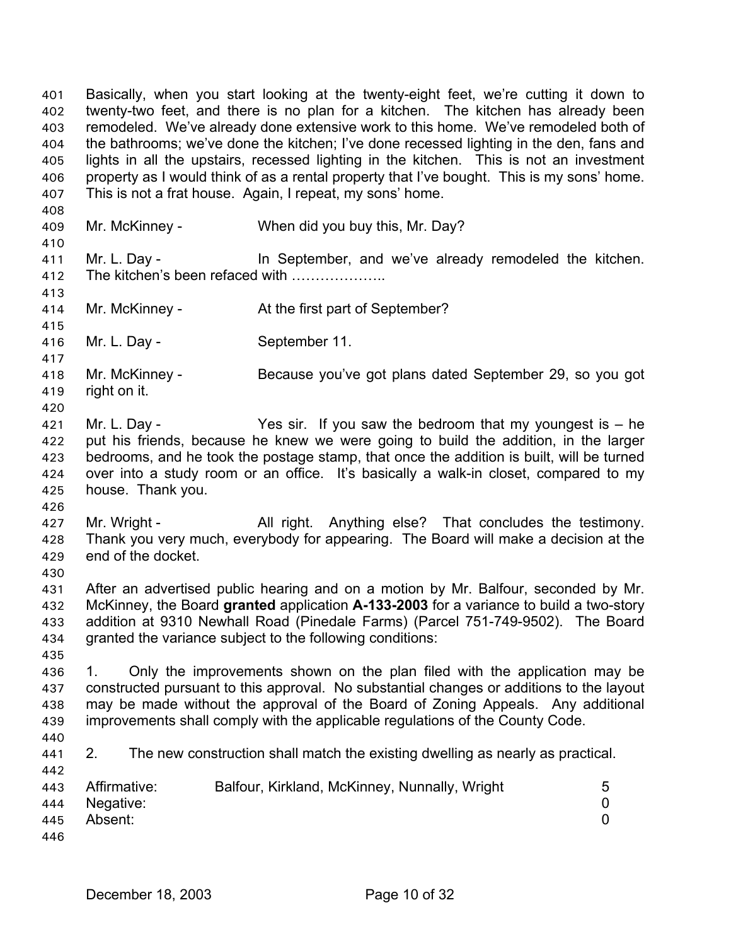Basically, when you start looking at the twenty-eight feet, we're cutting it down to twenty-two feet, and there is no plan for a kitchen. The kitchen has already been remodeled. We've already done extensive work to this home. We've remodeled both of the bathrooms; we've done the kitchen; I've done recessed lighting in the den, fans and lights in all the upstairs, recessed lighting in the kitchen. This is not an investment property as I would think of as a rental property that I've bought. This is my sons' home. This is not a frat house. Again, I repeat, my sons' home. 402 403 404 405 406 407 408 409 410 411 412 413 414 415 416 417 418 419 420 421 422 423 424 425 426 427 428 429 430 431 432 433 434 435 436 437 438 439 440 441 442 443 444 445 446 Mr. McKinney - When did you buy this, Mr. Day? Mr. L. Day - **In September, and we've already remodeled the kitchen.** The kitchen's been refaced with ……………….. Mr. McKinney - At the first part of September? Mr. L. Day - September 11. Mr. McKinney - Because you've got plans dated September 29, so you got right on it. Mr. L. Day - The Yes sir. If you saw the bedroom that my youngest is  $-$  he put his friends, because he knew we were going to build the addition, in the larger bedrooms, and he took the postage stamp, that once the addition is built, will be turned over into a study room or an office. It's basically a walk-in closet, compared to my house. Thank you. Mr. Wright - All right. Anything else? That concludes the testimony. Thank you very much, everybody for appearing. The Board will make a decision at the end of the docket. After an advertised public hearing and on a motion by Mr. Balfour, seconded by Mr. McKinney, the Board **granted** application **A-133-2003** for a variance to build a two-story addition at 9310 Newhall Road (Pinedale Farms) (Parcel 751-749-9502). The Board granted the variance subject to the following conditions: 1. Only the improvements shown on the plan filed with the application may be constructed pursuant to this approval. No substantial changes or additions to the layout may be made without the approval of the Board of Zoning Appeals. Any additional improvements shall comply with the applicable regulations of the County Code. 2. The new construction shall match the existing dwelling as nearly as practical. Affirmative: Balfour, Kirkland, McKinney, Nunnally, Wright 5 Negative: 0 Absent: 0

401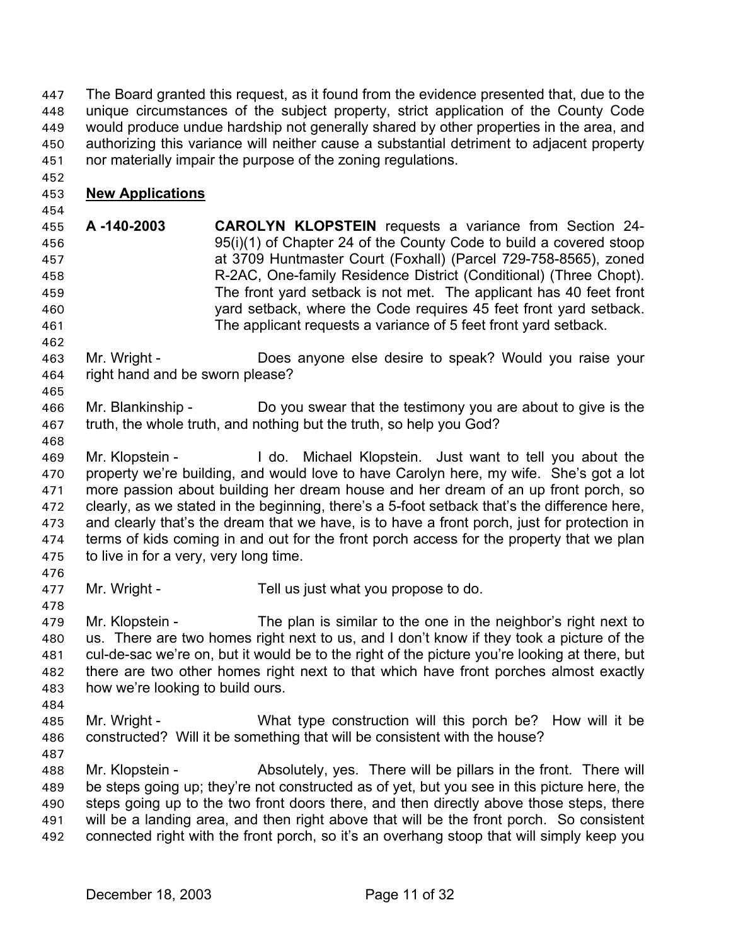The Board granted this request, as it found from the evidence presented that, due to the unique circumstances of the subject property, strict application of the County Code would produce undue hardship not generally shared by other properties in the area, and authorizing this variance will neither cause a substantial detriment to adjacent property nor materially impair the purpose of the zoning regulations. 447 448 449 450 451

# 453 **New Applications**

454

452

455 456 457 458 459 460 461 **A -140-2003 CAROLYN KLOPSTEIN** requests a variance from Section 24- 95(i)(1) of Chapter 24 of the County Code to build a covered stoop at 3709 Huntmaster Court (Foxhall) (Parcel 729-758-8565), zoned R-2AC, One-family Residence District (Conditional) (Three Chopt). The front yard setback is not met. The applicant has 40 feet front yard setback, where the Code requires 45 feet front yard setback. The applicant requests a variance of 5 feet front yard setback.

463 464 Mr. Wright - Does anyone else desire to speak? Would you raise your right hand and be sworn please?

466 467 Mr. Blankinship - Do you swear that the testimony you are about to give is the truth, the whole truth, and nothing but the truth, so help you God?

468

462

465

469 470 471 472 473 474 475 476 Mr. Klopstein - The Lotschich Michael Klopstein. Just want to tell you about the property we're building, and would love to have Carolyn here, my wife. She's got a lot more passion about building her dream house and her dream of an up front porch, so clearly, as we stated in the beginning, there's a 5-foot setback that's the difference here, and clearly that's the dream that we have, is to have a front porch, just for protection in terms of kids coming in and out for the front porch access for the property that we plan to live in for a very, very long time.

477 Mr. Wright - Tell us just what you propose to do.

478 479 480 481 482 483 Mr. Klopstein - The plan is similar to the one in the neighbor's right next to us. There are two homes right next to us, and I don't know if they took a picture of the cul-de-sac we're on, but it would be to the right of the picture you're looking at there, but there are two other homes right next to that which have front porches almost exactly how we're looking to build ours.

- 485 486 Mr. Wright - What type construction will this porch be? How will it be constructed? Will it be something that will be consistent with the house?
- 487

484

488 489 490 491 492 Mr. Klopstein - Absolutely, yes. There will be pillars in the front. There will be steps going up; they're not constructed as of yet, but you see in this picture here, the steps going up to the two front doors there, and then directly above those steps, there will be a landing area, and then right above that will be the front porch. So consistent connected right with the front porch, so it's an overhang stoop that will simply keep you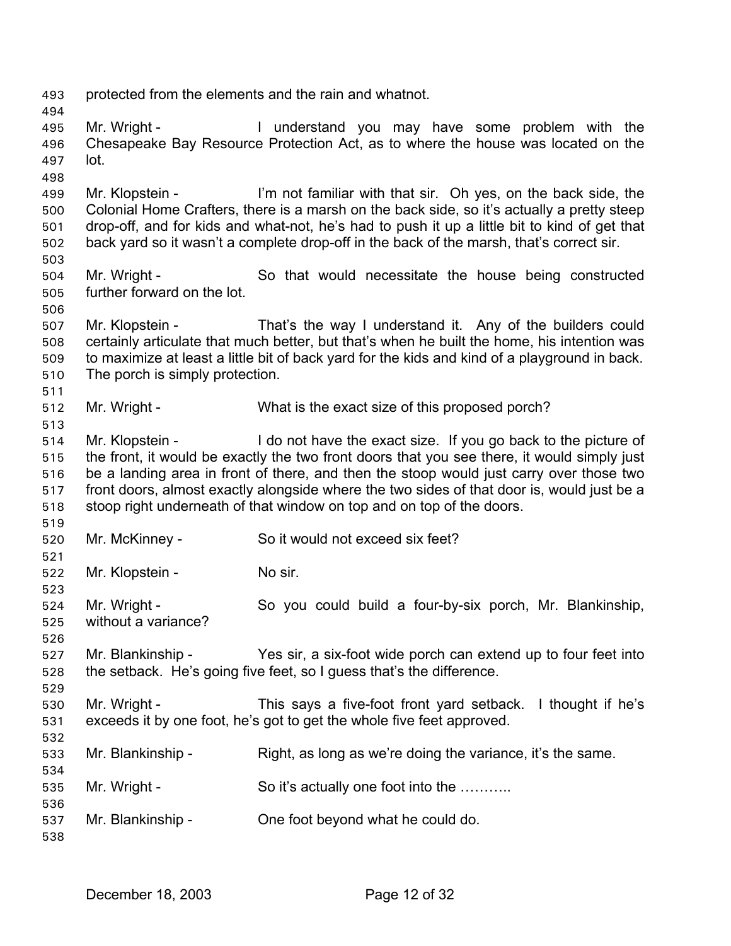493 protected from the elements and the rain and whatnot.

495 496 497 Mr. Wright - I understand you may have some problem with the Chesapeake Bay Resource Protection Act, as to where the house was located on the lot.

499 500 501 502 Mr. Klopstein - I'm not familiar with that sir. Oh yes, on the back side, the Colonial Home Crafters, there is a marsh on the back side, so it's actually a pretty steep drop-off, and for kids and what-not, he's had to push it up a little bit to kind of get that back yard so it wasn't a complete drop-off in the back of the marsh, that's correct sir.

- 504 505 Mr. Wright - So that would necessitate the house being constructed further forward on the lot.
- 506 507 508 509 510 Mr. Klopstein - That's the way I understand it. Any of the builders could certainly articulate that much better, but that's when he built the home, his intention was to maximize at least a little bit of back yard for the kids and kind of a playground in back. The porch is simply protection.
- 512 Mr. Wright - What is the exact size of this proposed porch?

514 515 516 517 518 519 Mr. Klopstein - I do not have the exact size. If you go back to the picture of the front, it would be exactly the two front doors that you see there, it would simply just be a landing area in front of there, and then the stoop would just carry over those two front doors, almost exactly alongside where the two sides of that door is, would just be a stoop right underneath of that window on top and on top of the doors.

- 520 Mr. McKinney - So it would not exceed six feet?
- 522 Mr. Klopstein - No sir.

524 525 Mr. Wright - So you could build a four-by-six porch, Mr. Blankinship, without a variance?

527 528 Mr. Blankinship - Yes sir, a six-foot wide porch can extend up to four feet into the setback. He's going five feet, so I guess that's the difference.

530 531 532 Mr. Wright - This says a five-foot front yard setback. I thought if he's exceeds it by one foot, he's got to get the whole five feet approved.

- 533 Mr. Blankinship - Right, as long as we're doing the variance, it's the same.
- 535 Mr. Wright - So it's actually one foot into the ...........
- 537 Mr. Blankinship - One foot beyond what he could do.

538

494

498

503

511

513

521

523

526

529

534

536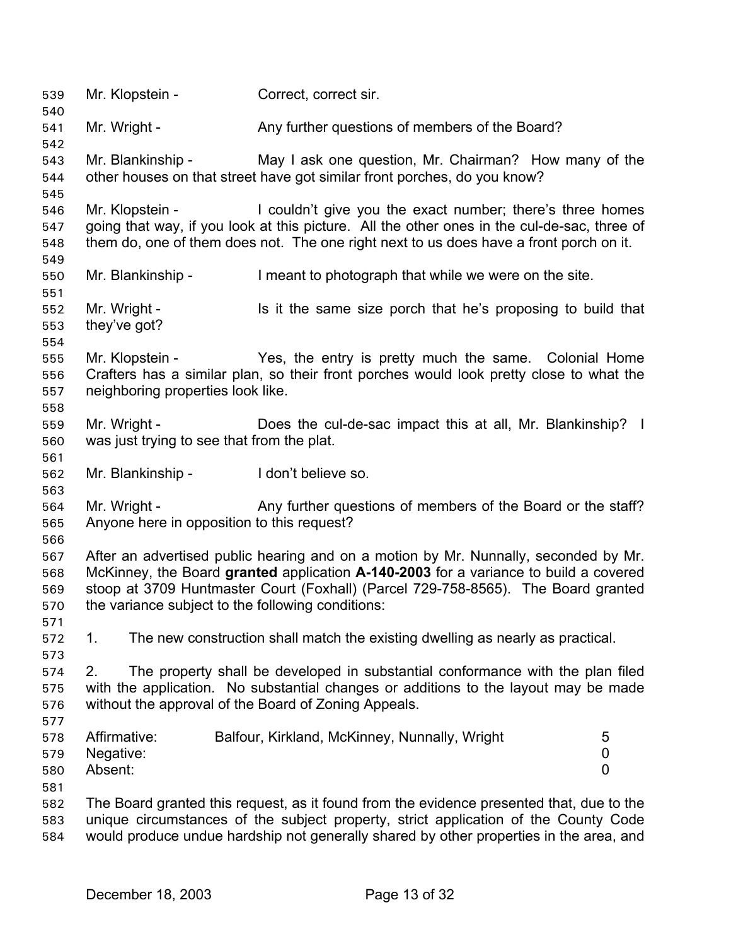539 Mr. Klopstein - Correct, correct sir. 540 541 542 543 544 545 546 547 548 549 550 551 552 553 554 555 556 557 558 559 560 561 562 563 564 565 566 567 568 569 570 571 572 573 574 575 576 577 578 579 580 581 582 583 584 Mr. Wright - Any further questions of members of the Board? Mr. Blankinship - May I ask one question, Mr. Chairman? How many of the other houses on that street have got similar front porches, do you know? Mr. Klopstein - I couldn't give you the exact number; there's three homes going that way, if you look at this picture. All the other ones in the cul-de-sac, three of them do, one of them does not. The one right next to us does have a front porch on it. Mr. Blankinship - I meant to photograph that while we were on the site. Mr. Wright - Is it the same size porch that he's proposing to build that they've got? Mr. Klopstein - Yes, the entry is pretty much the same. Colonial Home Crafters has a similar plan, so their front porches would look pretty close to what the neighboring properties look like. Mr. Wright - **Does the cul-de-sac impact this at all, Mr. Blankinship?** I was just trying to see that from the plat. Mr. Blankinship - I don't believe so. Mr. Wright - Any further questions of members of the Board or the staff? Anyone here in opposition to this request? After an advertised public hearing and on a motion by Mr. Nunnally, seconded by Mr. McKinney, the Board **granted** application **A-140-2003** for a variance to build a covered stoop at 3709 Huntmaster Court (Foxhall) (Parcel 729-758-8565). The Board granted the variance subject to the following conditions: 1. The new construction shall match the existing dwelling as nearly as practical. 2. The property shall be developed in substantial conformance with the plan filed with the application. No substantial changes or additions to the layout may be made without the approval of the Board of Zoning Appeals. Affirmative: Balfour, Kirkland, McKinney, Nunnally, Wright 5 Negative: 0 Absent: 0 The Board granted this request, as it found from the evidence presented that, due to the unique circumstances of the subject property, strict application of the County Code would produce undue hardship not generally shared by other properties in the area, and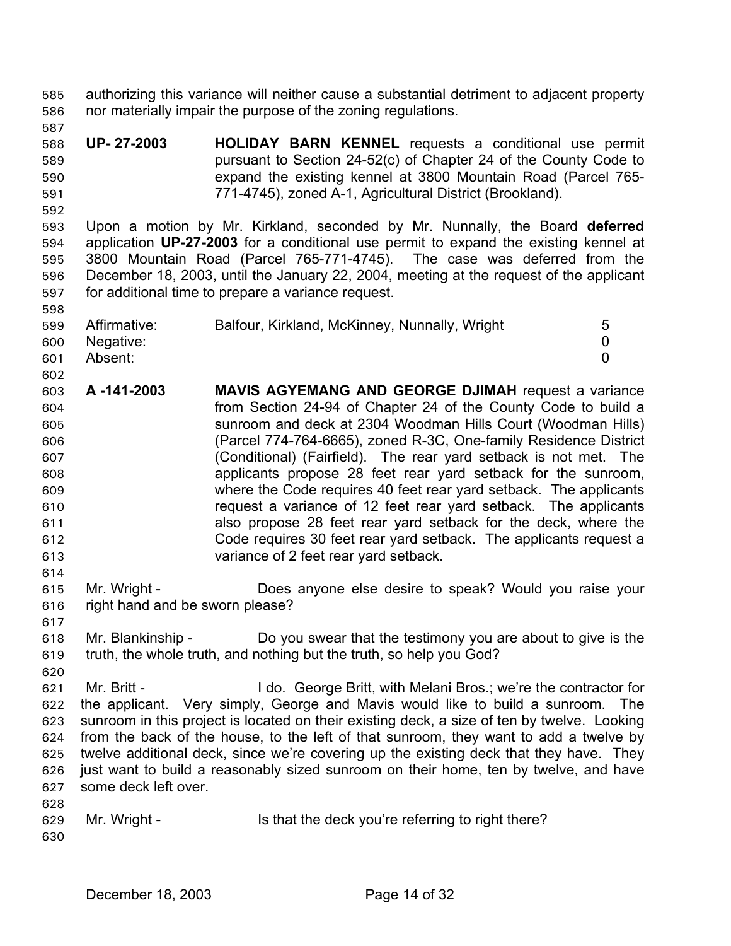authorizing this variance will neither cause a substantial detriment to adjacent property nor materially impair the purpose of the zoning regulations. 585 586

- 588 589 590 591 **UP- 27-2003 HOLIDAY BARN KENNEL** requests a conditional use permit pursuant to Section 24-52(c) of Chapter 24 of the County Code to expand the existing kennel at 3800 Mountain Road (Parcel 765- 771-4745), zoned A-1, Agricultural District (Brookland).
- 592

598

587

593 594 595 596 597 Upon a motion by Mr. Kirkland, seconded by Mr. Nunnally, the Board **deferred** application **UP-27-2003** for a conditional use permit to expand the existing kennel at 3800 Mountain Road (Parcel 765-771-4745). The case was deferred from the December 18, 2003, until the January 22, 2004, meeting at the request of the applicant for additional time to prepare a variance request.

| 599 | Affirmative: | Balfour, Kirkland, McKinney, Nunnally, Wright | 5 |
|-----|--------------|-----------------------------------------------|---|
| 600 | Negative:    |                                               |   |
| 601 | Absent:      |                                               |   |

- 602 603 604 605 606 607 608 609 610 611 612 613 **A -141-2003 MAVIS AGYEMANG AND GEORGE DJIMAH** request a variance from Section 24-94 of Chapter 24 of the County Code to build a sunroom and deck at 2304 Woodman Hills Court (Woodman Hills) (Parcel 774-764-6665), zoned R-3C, One-family Residence District (Conditional) (Fairfield). The rear yard setback is not met. The applicants propose 28 feet rear yard setback for the sunroom, where the Code requires 40 feet rear yard setback. The applicants request a variance of 12 feet rear yard setback. The applicants also propose 28 feet rear yard setback for the deck, where the Code requires 30 feet rear yard setback. The applicants request a variance of 2 feet rear yard setback.
- 615 616 Mr. Wright - **Does anyone else desire to speak? Would you raise your** right hand and be sworn please?
- 617

620

614

- 618 619 Mr. Blankinship - Do you swear that the testimony you are about to give is the truth, the whole truth, and nothing but the truth, so help you God?
- 621 622 623 624 625 626 627 628 Mr. Britt - I do. George Britt, with Melani Bros.; we're the contractor for the applicant. Very simply, George and Mavis would like to build a sunroom. The sunroom in this project is located on their existing deck, a size of ten by twelve. Looking from the back of the house, to the left of that sunroom, they want to add a twelve by twelve additional deck, since we're covering up the existing deck that they have. They just want to build a reasonably sized sunroom on their home, ten by twelve, and have some deck left over.
- 629 630 Mr. Wright - Is that the deck you're referring to right there?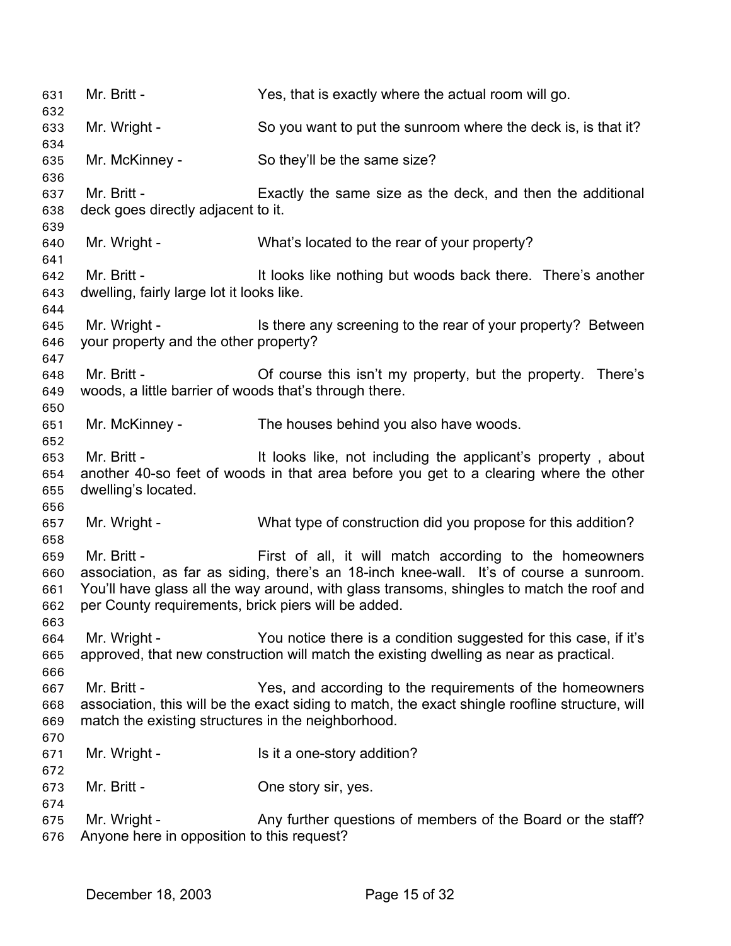| 631<br>632                      | Mr. Britt -                                                           | Yes, that is exactly where the actual room will go.                                                                                                                                                                                            |
|---------------------------------|-----------------------------------------------------------------------|------------------------------------------------------------------------------------------------------------------------------------------------------------------------------------------------------------------------------------------------|
| 633<br>634                      | Mr. Wright -                                                          | So you want to put the sunroom where the deck is, is that it?                                                                                                                                                                                  |
| 635<br>636                      | Mr. McKinney -                                                        | So they'll be the same size?                                                                                                                                                                                                                   |
| 637<br>638                      | Mr. Britt -<br>deck goes directly adjacent to it.                     | Exactly the same size as the deck, and then the additional                                                                                                                                                                                     |
| 639<br>640<br>641               | Mr. Wright -                                                          | What's located to the rear of your property?                                                                                                                                                                                                   |
| 642<br>643<br>644               | Mr. Britt -<br>dwelling, fairly large lot it looks like.              | It looks like nothing but woods back there. There's another                                                                                                                                                                                    |
| 645<br>646                      | Mr. Wright -<br>your property and the other property?                 | Is there any screening to the rear of your property? Between                                                                                                                                                                                   |
| 647<br>648<br>649<br>650        | Mr. Britt -<br>woods, a little barrier of woods that's through there. | Of course this isn't my property, but the property. There's                                                                                                                                                                                    |
| 651<br>652                      | Mr. McKinney -                                                        | The houses behind you also have woods.                                                                                                                                                                                                         |
| 653<br>654<br>655<br>656        | Mr. Britt -<br>dwelling's located.                                    | It looks like, not including the applicant's property, about<br>another 40-so feet of woods in that area before you get to a clearing where the other                                                                                          |
| 657<br>658                      | Mr. Wright -                                                          | What type of construction did you propose for this addition?                                                                                                                                                                                   |
| 659<br>660<br>661<br>662<br>663 | Mr. Britt -<br>per County requirements, brick piers will be added.    | First of all, it will match according to the homeowners<br>association, as far as siding, there's an 18-inch knee-wall. It's of course a sunroom.<br>You'll have glass all the way around, with glass transoms, shingles to match the roof and |
| 664<br>665<br>666               | Mr. Wright -                                                          | You notice there is a condition suggested for this case, if it's<br>approved, that new construction will match the existing dwelling as near as practical.                                                                                     |
| 667<br>668<br>669<br>670        | Mr. Britt -<br>match the existing structures in the neighborhood.     | Yes, and according to the requirements of the homeowners<br>association, this will be the exact siding to match, the exact shingle roofline structure, will                                                                                    |
| 671<br>672                      | Mr. Wright -                                                          | Is it a one-story addition?                                                                                                                                                                                                                    |
| 673<br>674                      | Mr. Britt -                                                           | One story sir, yes.                                                                                                                                                                                                                            |
| 675<br>676                      | Mr. Wright -<br>Anyone here in opposition to this request?            | Any further questions of members of the Board or the staff?                                                                                                                                                                                    |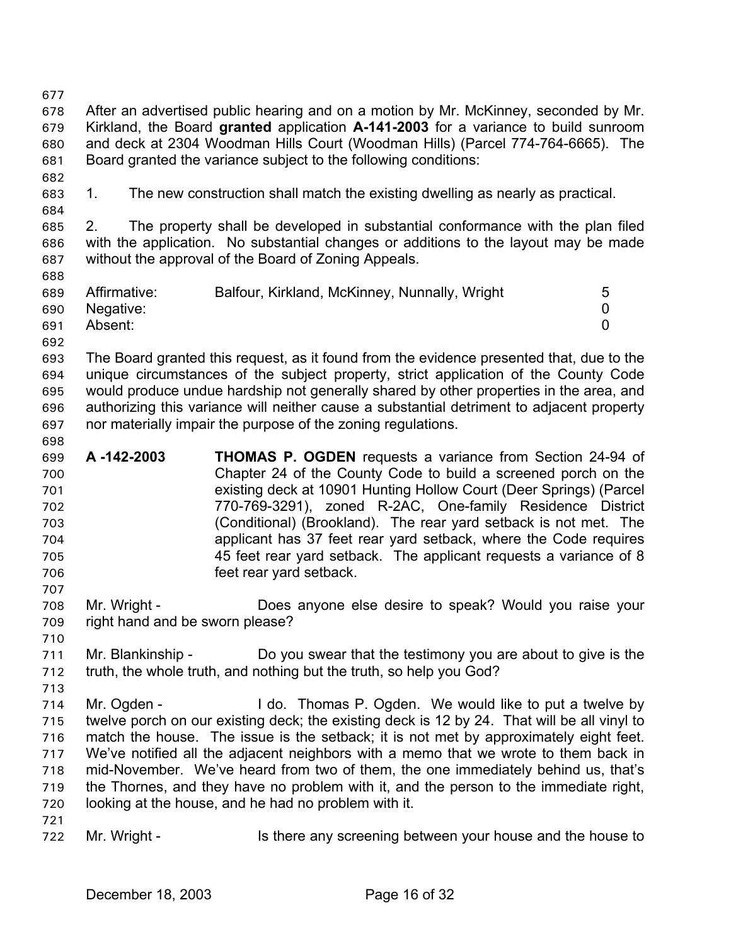677

678 679 680 681 682 683 684 685 686 687 688 689 690 691 692 693 694 695 696 697 698 699 700 After an advertised public hearing and on a motion by Mr. McKinney, seconded by Mr. Kirkland, the Board **granted** application **A-141-2003** for a variance to build sunroom and deck at 2304 Woodman Hills Court (Woodman Hills) (Parcel 774-764-6665). The Board granted the variance subject to the following conditions: 1. The new construction shall match the existing dwelling as nearly as practical. 2. The property shall be developed in substantial conformance with the plan filed with the application. No substantial changes or additions to the layout may be made without the approval of the Board of Zoning Appeals. Affirmative: Balfour, Kirkland, McKinney, Nunnally, Wright 5 Negative: 0 Absent: 0 The Board granted this request, as it found from the evidence presented that, due to the unique circumstances of the subject property, strict application of the County Code would produce undue hardship not generally shared by other properties in the area, and authorizing this variance will neither cause a substantial detriment to adjacent property nor materially impair the purpose of the zoning regulations. **A -142-2003 THOMAS P. OGDEN** requests a variance from Section 24-94 of Chapter 24 of the County Code to build a screened porch on the

- 701 702 703 704 705 706 existing deck at 10901 Hunting Hollow Court (Deer Springs) (Parcel 770-769-3291), zoned R-2AC, One-family Residence District (Conditional) (Brookland). The rear yard setback is not met. The applicant has 37 feet rear yard setback, where the Code requires 45 feet rear yard setback. The applicant requests a variance of 8 feet rear yard setback.
- 708 709 710 Mr. Wright - Does anyone else desire to speak? Would you raise your right hand and be sworn please?
- 711 712 Mr. Blankinship - Do you swear that the testimony you are about to give is the truth, the whole truth, and nothing but the truth, so help you God?
- 714 715 716 717 718 719 720 Mr. Ogden - I do. Thomas P. Ogden. We would like to put a twelve by twelve porch on our existing deck; the existing deck is 12 by 24. That will be all vinyl to match the house. The issue is the setback; it is not met by approximately eight feet. We've notified all the adjacent neighbors with a memo that we wrote to them back in mid-November. We've heard from two of them, the one immediately behind us, that's the Thornes, and they have no problem with it, and the person to the immediate right, looking at the house, and he had no problem with it.
- 721

707

713

722 Mr. Wright - The Is there any screening between your house and the house to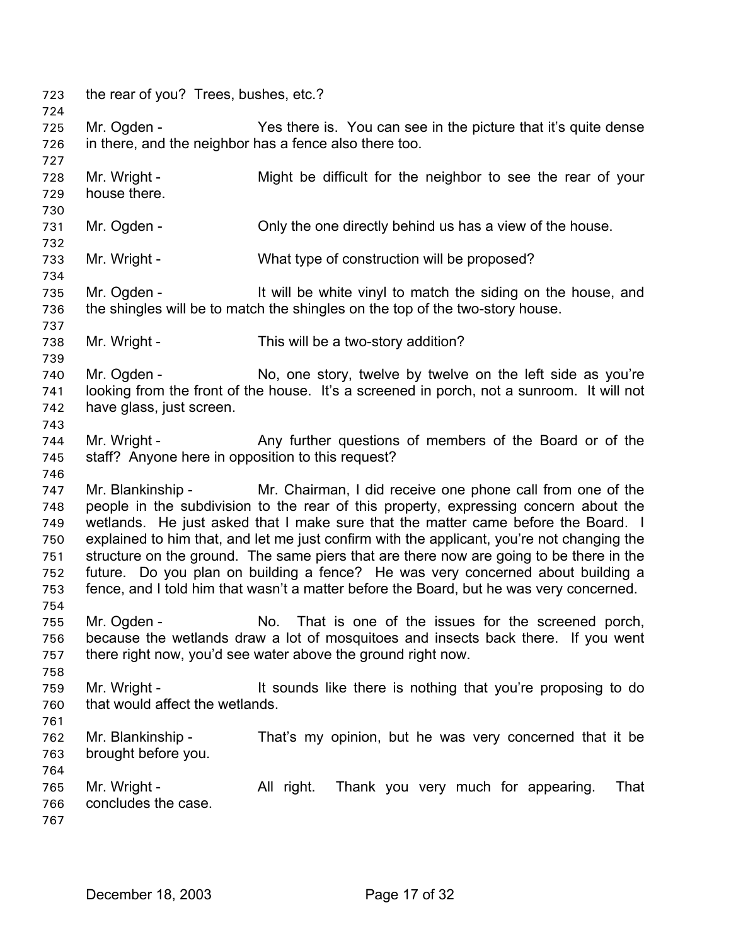723 the rear of you? Trees, bushes, etc.? 724 725 726 727 728 729 730 731 732 733 734 735 736 737 738 739 740 741 742 743 744 745 746 747 748 749 750 751 752 753 754 755 756 757 758 759 760 761 762 763 764 765 766 767 Mr. Ogden - Yes there is. You can see in the picture that it's quite dense in there, and the neighbor has a fence also there too. Mr. Wright - Might be difficult for the neighbor to see the rear of your house there. Mr. Ogden - Only the one directly behind us has a view of the house. Mr. Wright - What type of construction will be proposed? Mr. Ogden - The Mull be white vinyl to match the siding on the house, and the shingles will be to match the shingles on the top of the two-story house. Mr. Wright - This will be a two-story addition? Mr. Ogden - No, one story, twelve by twelve on the left side as you're looking from the front of the house. It's a screened in porch, not a sunroom. It will not have glass, just screen. Mr. Wright - Any further questions of members of the Board or of the staff? Anyone here in opposition to this request? Mr. Blankinship - Mr. Chairman, I did receive one phone call from one of the people in the subdivision to the rear of this property, expressing concern about the wetlands. He just asked that I make sure that the matter came before the Board. I explained to him that, and let me just confirm with the applicant, you're not changing the structure on the ground. The same piers that are there now are going to be there in the future. Do you plan on building a fence? He was very concerned about building a fence, and I told him that wasn't a matter before the Board, but he was very concerned. Mr. Ogden - No. That is one of the issues for the screened porch, because the wetlands draw a lot of mosquitoes and insects back there. If you went there right now, you'd see water above the ground right now. Mr. Wright - It sounds like there is nothing that you're proposing to do that would affect the wetlands. Mr. Blankinship - That's my opinion, but he was very concerned that it be brought before you. Mr. Wright - Thank you very much for appearing. That concludes the case.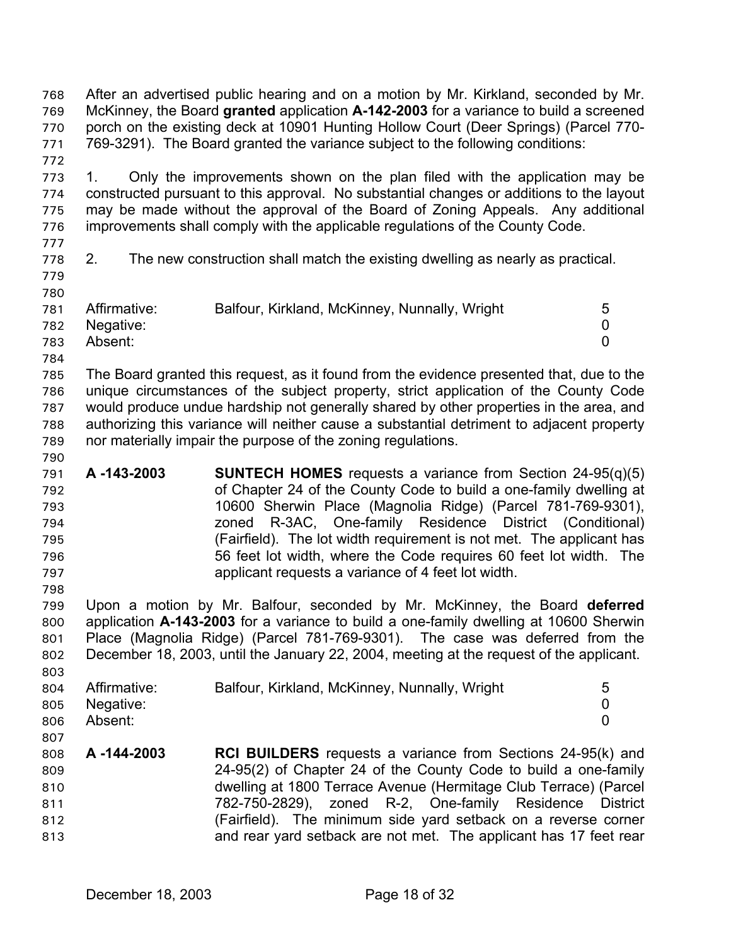After an advertised public hearing and on a motion by Mr. Kirkland, seconded by Mr. McKinney, the Board **granted** application **A-142-2003** for a variance to build a screened porch on the existing deck at 10901 Hunting Hollow Court (Deer Springs) (Parcel 770- 769-3291). The Board granted the variance subject to the following conditions: 768 769 770 771

773 774 775 776 1. Only the improvements shown on the plan filed with the application may be constructed pursuant to this approval. No substantial changes or additions to the layout may be made without the approval of the Board of Zoning Appeals. Any additional improvements shall comply with the applicable regulations of the County Code.

777

772

778

2. The new construction shall match the existing dwelling as nearly as practical.

779 780

781 Affirmative: Balfour, Kirkland, McKinney, Nunnally, Wright 5 Negative: 0

- 782 Absent: 0
- 783 784

790

798

803

785 786 787 788 789 The Board granted this request, as it found from the evidence presented that, due to the unique circumstances of the subject property, strict application of the County Code would produce undue hardship not generally shared by other properties in the area, and authorizing this variance will neither cause a substantial detriment to adjacent property nor materially impair the purpose of the zoning regulations.

791 792 793 794 795 796 797 **A -143-2003 SUNTECH HOMES** requests a variance from Section 24-95(q)(5) of Chapter 24 of the County Code to build a one-family dwelling at 10600 Sherwin Place (Magnolia Ridge) (Parcel 781-769-9301), zoned R-3AC, One-family Residence District (Conditional) (Fairfield). The lot width requirement is not met. The applicant has 56 feet lot width, where the Code requires 60 feet lot width. The applicant requests a variance of 4 feet lot width.

799 800 801 802 Upon a motion by Mr. Balfour, seconded by Mr. McKinney, the Board **deferred** application **A-143-2003** for a variance to build a one-family dwelling at 10600 Sherwin Place (Magnolia Ridge) (Parcel 781-769-9301). The case was deferred from the December 18, 2003, until the January 22, 2004, meeting at the request of the applicant.

| 804 | Affirmative:  | Balfour, Kirkland, McKinney, Nunnally, Wright | 5 |
|-----|---------------|-----------------------------------------------|---|
|     | 805 Negative: |                                               |   |
| 806 | Absent:       |                                               |   |
| 807 |               |                                               |   |

808 809 810 811 812 813 **A -144-2003 RCI BUILDERS** requests a variance from Sections 24-95(k) and 24-95(2) of Chapter 24 of the County Code to build a one-family dwelling at 1800 Terrace Avenue (Hermitage Club Terrace) (Parcel 782-750-2829), zoned R-2, One-family Residence District (Fairfield). The minimum side yard setback on a reverse corner and rear yard setback are not met. The applicant has 17 feet rear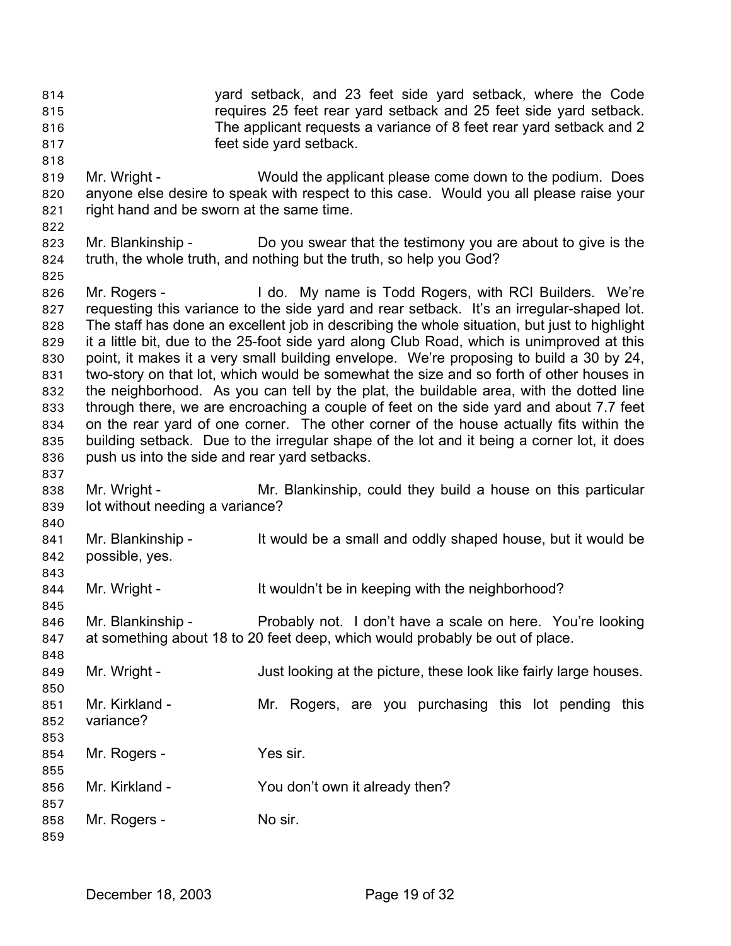yard setback, and 23 feet side yard setback, where the Code requires 25 feet rear yard setback and 25 feet side yard setback. The applicant requests a variance of 8 feet rear yard setback and 2 feet side yard setback. 814 815 816 817

- 819 820 821 Mr. Wright - Would the applicant please come down to the podium. Does anyone else desire to speak with respect to this case. Would you all please raise your right hand and be sworn at the same time.
- 822

825

837

840

845

848

853

859

818

823 824 Mr. Blankinship - Do you swear that the testimony you are about to give is the truth, the whole truth, and nothing but the truth, so help you God?

826 827 828 829 830 831 832 833 834 835 836 Mr. Rogers - I do. My name is Todd Rogers, with RCI Builders. We're requesting this variance to the side yard and rear setback. It's an irregular-shaped lot. The staff has done an excellent job in describing the whole situation, but just to highlight it a little bit, due to the 25-foot side yard along Club Road, which is unimproved at this point, it makes it a very small building envelope. We're proposing to build a 30 by 24, two-story on that lot, which would be somewhat the size and so forth of other houses in the neighborhood. As you can tell by the plat, the buildable area, with the dotted line through there, we are encroaching a couple of feet on the side yard and about 7.7 feet on the rear yard of one corner. The other corner of the house actually fits within the building setback. Due to the irregular shape of the lot and it being a corner lot, it does push us into the side and rear yard setbacks.

838 839 Mr. Wright - Mr. Blankinship, could they build a house on this particular lot without needing a variance?

841 842 843 Mr. Blankinship - It would be a small and oddly shaped house, but it would be possible, yes.

844 Mr. Wright - The It wouldn't be in keeping with the neighborhood?

846 847 Mr. Blankinship - Probably not. I don't have a scale on here. You're looking at something about 18 to 20 feet deep, which would probably be out of place.

849 Mr. Wright - Just looking at the picture, these look like fairly large houses.

- 850 851 852 Mr. Kirkland - The Mr. Rogers, are you purchasing this lot pending this variance?
- 854 855 Mr. Rogers - Yes sir.
- 856 Mr. Kirkland - The You don't own it already then?
- 857 858 Mr. Rogers - No sir.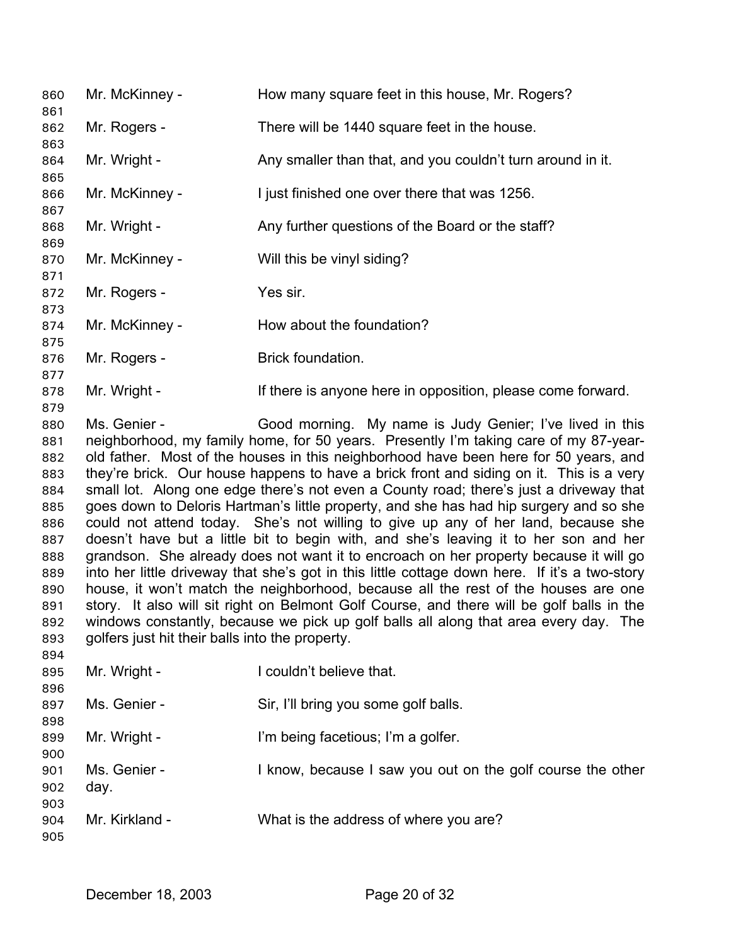| 860<br>861 | Mr. McKinney -                                  | How many square feet in this house, Mr. Rogers?                                               |
|------------|-------------------------------------------------|-----------------------------------------------------------------------------------------------|
| 862        | Mr. Rogers -                                    | There will be 1440 square feet in the house.                                                  |
| 863        |                                                 |                                                                                               |
| 864<br>865 | Mr. Wright -                                    | Any smaller than that, and you couldn't turn around in it.                                    |
| 866        | Mr. McKinney -                                  | I just finished one over there that was 1256.                                                 |
| 867        |                                                 |                                                                                               |
| 868<br>869 | Mr. Wright -                                    | Any further questions of the Board or the staff?                                              |
| 870        | Mr. McKinney -                                  | Will this be vinyl siding?                                                                    |
| 871        |                                                 |                                                                                               |
| 872        | Mr. Rogers -                                    | Yes sir.                                                                                      |
| 873        |                                                 |                                                                                               |
| 874        | Mr. McKinney -                                  | How about the foundation?                                                                     |
| 875        |                                                 | Brick foundation.                                                                             |
| 876<br>877 | Mr. Rogers -                                    |                                                                                               |
| 878        | Mr. Wright -                                    | If there is anyone here in opposition, please come forward.                                   |
| 879        |                                                 |                                                                                               |
| 880        | Ms. Genier -                                    | Good morning. My name is Judy Genier; I've lived in this                                      |
| 881        |                                                 | neighborhood, my family home, for 50 years. Presently I'm taking care of my 87-year-          |
| 882        |                                                 | old father. Most of the houses in this neighborhood have been here for 50 years, and          |
| 883        |                                                 | they're brick. Our house happens to have a brick front and siding on it. This is a very       |
| 884        |                                                 | small lot. Along one edge there's not even a County road; there's just a driveway that        |
| 885        |                                                 | goes down to Deloris Hartman's little property, and she has had hip surgery and so she        |
| 886        |                                                 | could not attend today. She's not willing to give up any of her land, because she             |
| 887        |                                                 | doesn't have but a little bit to begin with, and she's leaving it to her son and her          |
| 888        |                                                 | grandson. She already does not want it to encroach on her property because it will go         |
| 889        |                                                 | into her little driveway that she's got in this little cottage down here. If it's a two-story |
| 890        |                                                 | house, it won't match the neighborhood, because all the rest of the houses are one            |
| 891        |                                                 | story. It also will sit right on Belmont Golf Course, and there will be golf balls in the     |
| 892        |                                                 | windows constantly, because we pick up golf balls all along that area every day. The          |
| 893        | golfers just hit their balls into the property. |                                                                                               |
| 894        |                                                 |                                                                                               |
| 895        | Mr. Wright -                                    | I couldn't believe that.                                                                      |
| 896        |                                                 |                                                                                               |
| 897        | Ms. Genier -                                    | Sir, I'll bring you some golf balls.                                                          |
| 898        |                                                 |                                                                                               |
| 899        | Mr. Wright -                                    | I'm being facetious; I'm a golfer.                                                            |
| 900        |                                                 |                                                                                               |
| 901        | Ms. Genier -                                    | I know, because I saw you out on the golf course the other                                    |
| 902        | day.                                            |                                                                                               |
| 903        |                                                 |                                                                                               |
| 904        | Mr. Kirkland -                                  | What is the address of where you are?                                                         |
| 905        |                                                 |                                                                                               |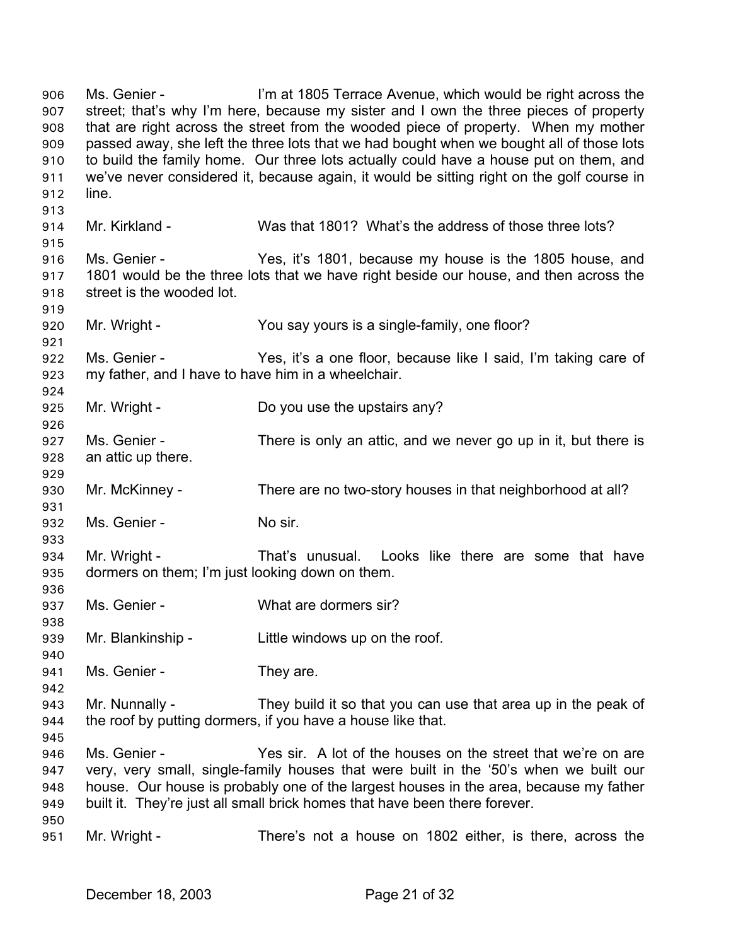Ms. Genier - I'm at 1805 Terrace Avenue, which would be right across the street; that's why I'm here, because my sister and I own the three pieces of property that are right across the street from the wooded piece of property. When my mother passed away, she left the three lots that we had bought when we bought all of those lots to build the family home. Our three lots actually could have a house put on them, and we've never considered it, because again, it would be sitting right on the golf course in line. 906 907 908 909 910 911 912 913 914 915 916 917 918 919 920 921 922 923 924 925 926 927 928 929 930 931 932 933 934 935 936 937 938 939 940 941 942 943 944 945 946 947 948 949 950 951 Mr. Kirkland - Was that 1801? What's the address of those three lots? Ms. Genier - Yes, it's 1801, because my house is the 1805 house, and 1801 would be the three lots that we have right beside our house, and then across the street is the wooded lot. Mr. Wright - You say yours is a single-family, one floor? Ms. Genier - Yes, it's a one floor, because like I said, I'm taking care of my father, and I have to have him in a wheelchair. Mr. Wright - Do you use the upstairs any? Ms. Genier - There is only an attic, and we never go up in it, but there is an attic up there. Mr. McKinney - There are no two-story houses in that neighborhood at all? Ms. Genier - No sir. Mr. Wright - That's unusual. Looks like there are some that have dormers on them; I'm just looking down on them. Ms. Genier - What are dormers sir? Mr. Blankinship - Little windows up on the roof. Ms. Genier - They are. Mr. Nunnally - They build it so that you can use that area up in the peak of the roof by putting dormers, if you have a house like that. Ms. Genier - Yes sir. A lot of the houses on the street that we're on are very, very small, single-family houses that were built in the '50's when we built our house. Our house is probably one of the largest houses in the area, because my father built it. They're just all small brick homes that have been there forever. Mr. Wright - There's not a house on 1802 either, is there, across the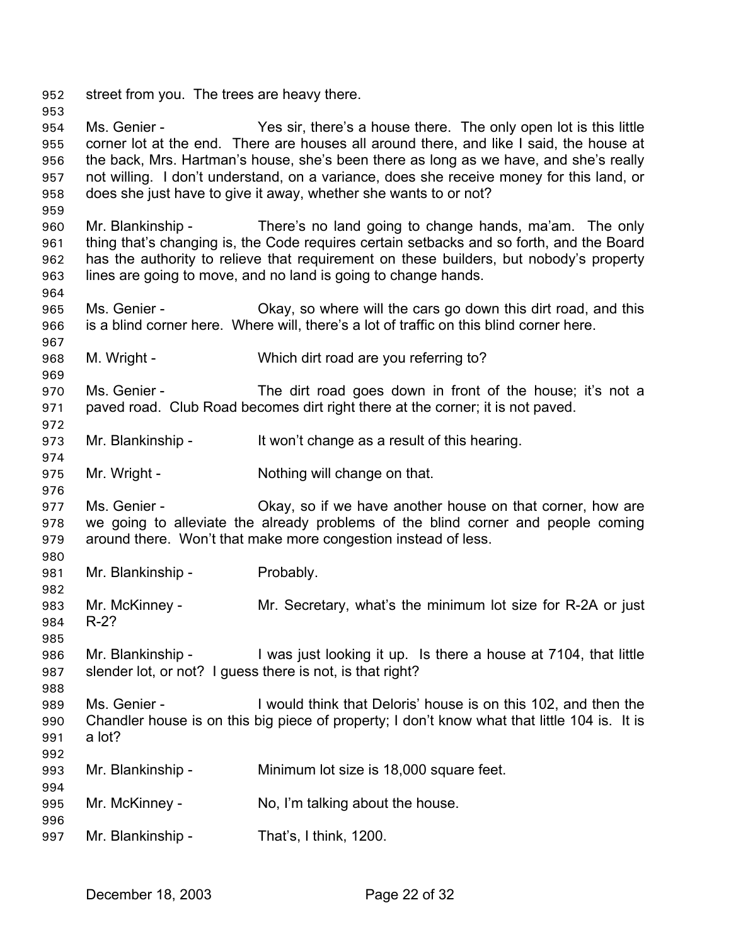952 street from you. The trees are heavy there.

953

964

969

972

974

976

980

982

985

988

992

994

996

954 955 956 957 958 959 Ms. Genier - Yes sir, there's a house there. The only open lot is this little corner lot at the end. There are houses all around there, and like I said, the house at the back, Mrs. Hartman's house, she's been there as long as we have, and she's really not willing. I don't understand, on a variance, does she receive money for this land, or does she just have to give it away, whether she wants to or not?

960 961 962 963 Mr. Blankinship - There's no land going to change hands, ma'am. The only thing that's changing is, the Code requires certain setbacks and so forth, and the Board has the authority to relieve that requirement on these builders, but nobody's property lines are going to move, and no land is going to change hands.

965 966 Ms. Genier - Chay, so where will the cars go down this dirt road, and this is a blind corner here. Where will, there's a lot of traffic on this blind corner here.

- 967 968 M. Wright - Which dirt road are you referring to?
- 970 971 Ms. Genier - The dirt road goes down in front of the house; it's not a paved road. Club Road becomes dirt right there at the corner; it is not paved.
- 973 Mr. Blankinship - It won't change as a result of this hearing.
- 975 Mr. Wright - Nothing will change on that.

977 978 979 Ms. Genier - Chay, so if we have another house on that corner, how are we going to alleviate the already problems of the blind corner and people coming around there. Won't that make more congestion instead of less.

981 Mr. Blankinship - Probably.

983 984 Mr. McKinney - Mr. Secretary, what's the minimum lot size for R-2A or just R-2?

986 987 Mr. Blankinship - I was just looking it up. Is there a house at 7104, that little slender lot, or not? I guess there is not, is that right?

989 990 991 Ms. Genier - I would think that Deloris' house is on this 102, and then the Chandler house is on this big piece of property; I don't know what that little 104 is. It is a lot?

- 993 Mr. Blankinship - Minimum lot size is 18,000 square feet.
- 995 Mr. McKinney - No, I'm talking about the house.
- 997 Mr. Blankinship - That's, I think, 1200.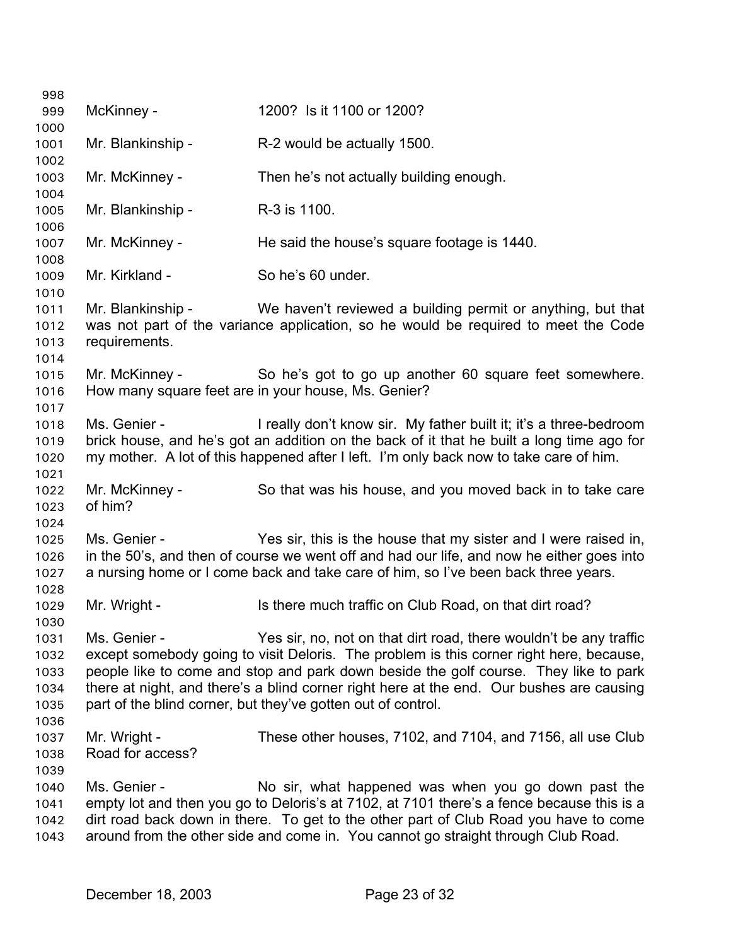| 998          |                                  |                                                                                                                                                   |
|--------------|----------------------------------|---------------------------------------------------------------------------------------------------------------------------------------------------|
| 999          | McKinney -                       | 1200? Is it 1100 or 1200?                                                                                                                         |
| 1000         |                                  |                                                                                                                                                   |
| 1001         | Mr. Blankinship -                | R-2 would be actually 1500.                                                                                                                       |
| 1002         |                                  |                                                                                                                                                   |
| 1003         | Mr. McKinney -                   | Then he's not actually building enough.                                                                                                           |
| 1004         |                                  |                                                                                                                                                   |
| 1005         | Mr. Blankinship -                | R-3 is 1100.                                                                                                                                      |
| 1006         |                                  |                                                                                                                                                   |
| 1007         | Mr. McKinney -                   | He said the house's square footage is 1440.                                                                                                       |
| 1008         |                                  |                                                                                                                                                   |
| 1009         | Mr. Kirkland -                   | So he's 60 under.                                                                                                                                 |
| 1010         | Mr. Blankinship -                |                                                                                                                                                   |
| 1011<br>1012 |                                  | We haven't reviewed a building permit or anything, but that<br>was not part of the variance application, so he would be required to meet the Code |
| 1013         | requirements.                    |                                                                                                                                                   |
| 1014         |                                  |                                                                                                                                                   |
| 1015         | Mr. McKinney -                   | So he's got to go up another 60 square feet somewhere.                                                                                            |
| 1016         |                                  | How many square feet are in your house, Ms. Genier?                                                                                               |
| 1017         |                                  |                                                                                                                                                   |
| 1018         | Ms. Genier -                     | I really don't know sir. My father built it; it's a three-bedroom                                                                                 |
| 1019         |                                  | brick house, and he's got an addition on the back of it that he built a long time ago for                                                         |
| 1020         |                                  | my mother. A lot of this happened after I left. I'm only back now to take care of him.                                                            |
| 1021         |                                  |                                                                                                                                                   |
| 1022         | Mr. McKinney -                   | So that was his house, and you moved back in to take care                                                                                         |
| 1023         | of him?                          |                                                                                                                                                   |
| 1024         |                                  |                                                                                                                                                   |
| 1025         | Ms. Genier -                     | Yes sir, this is the house that my sister and I were raised in,                                                                                   |
| 1026         |                                  | in the 50's, and then of course we went off and had our life, and now he either goes into                                                         |
| 1027         |                                  | a nursing home or I come back and take care of him, so I've been back three years.                                                                |
| 1028         |                                  |                                                                                                                                                   |
| 1029         | Mr. Wright -                     | Is there much traffic on Club Road, on that dirt road?                                                                                            |
| 1030         |                                  |                                                                                                                                                   |
| 1031         | Ms. Genier -                     | Yes sir, no, not on that dirt road, there wouldn't be any traffic                                                                                 |
| 1032         |                                  | except somebody going to visit Deloris. The problem is this corner right here, because,                                                           |
| 1033         |                                  | people like to come and stop and park down beside the golf course. They like to park                                                              |
| 1034         |                                  | there at night, and there's a blind corner right here at the end. Our bushes are causing                                                          |
| 1035         |                                  | part of the blind corner, but they've gotten out of control.                                                                                      |
| 1036         |                                  |                                                                                                                                                   |
| 1037         | Mr. Wright -<br>Road for access? | These other houses, 7102, and 7104, and 7156, all use Club                                                                                        |
| 1038         |                                  |                                                                                                                                                   |
| 1039<br>1040 | Ms. Genier -                     | No sir, what happened was when you go down past the                                                                                               |
| 1041         |                                  | empty lot and then you go to Deloris's at 7102, at 7101 there's a fence because this is a                                                         |
| 1042         |                                  | dirt road back down in there. To get to the other part of Club Road you have to come                                                              |
| 1043         |                                  | around from the other side and come in. You cannot go straight through Club Road.                                                                 |
|              |                                  |                                                                                                                                                   |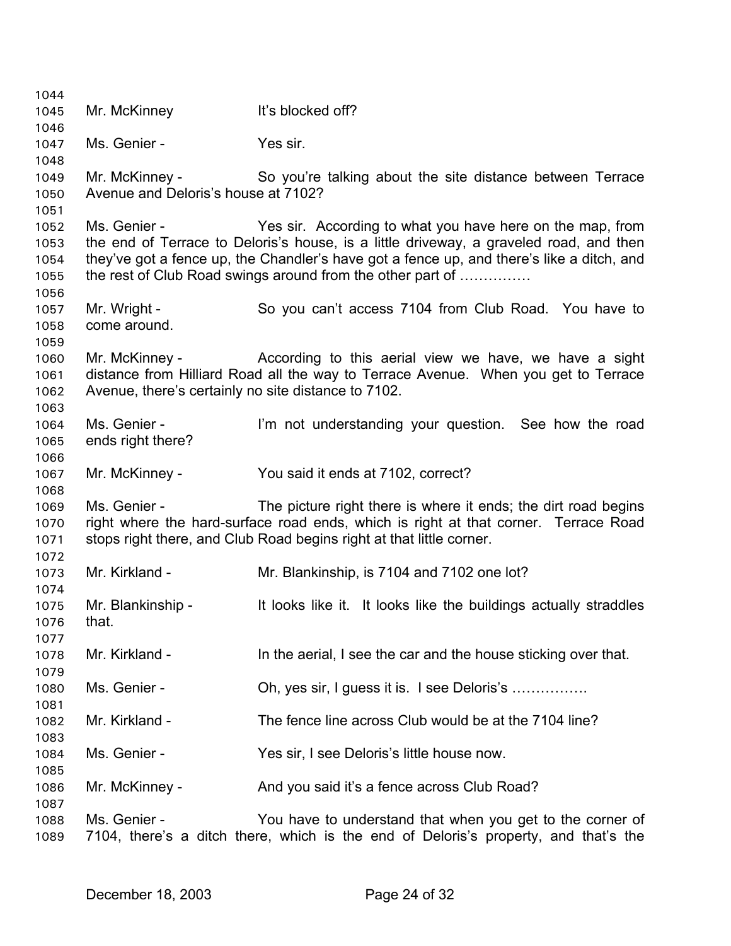Mr. McKinney It's blocked off? Ms. Genier - The Yes sir. Mr. McKinney - So you're talking about the site distance between Terrace Avenue and Deloris's house at 7102? Ms. Genier - The Yes sir. According to what you have here on the map, from the end of Terrace to Deloris's house, is a little driveway, a graveled road, and then they've got a fence up, the Chandler's have got a fence up, and there's like a ditch, and the rest of Club Road swings around from the other part of …………… Mr. Wright - So you can't access 7104 from Club Road. You have to come around. Mr. McKinney - The According to this aerial view we have, we have a sight distance from Hilliard Road all the way to Terrace Avenue. When you get to Terrace Avenue, there's certainly no site distance to 7102. Ms. Genier - I'm not understanding your question. See how the road ends right there? Mr. McKinney - You said it ends at 7102, correct? Ms. Genier - The picture right there is where it ends; the dirt road begins right where the hard-surface road ends, which is right at that corner. Terrace Road stops right there, and Club Road begins right at that little corner. Mr. Kirkland - Mr. Blankinship, is 7104 and 7102 one lot? Mr. Blankinship - The lit looks like it. It looks like the buildings actually straddles that. Mr. Kirkland - In the aerial, I see the car and the house sticking over that. Ms. Genier - Ch, yes sir, I guess it is. I see Deloris's ................. Mr. Kirkland - The fence line across Club would be at the 7104 line? Ms. Genier - Yes sir, I see Deloris's little house now. Mr. McKinney - And you said it's a fence across Club Road? Ms. Genier - The You have to understand that when you get to the corner of 7104, there's a ditch there, which is the end of Deloris's property, and that's the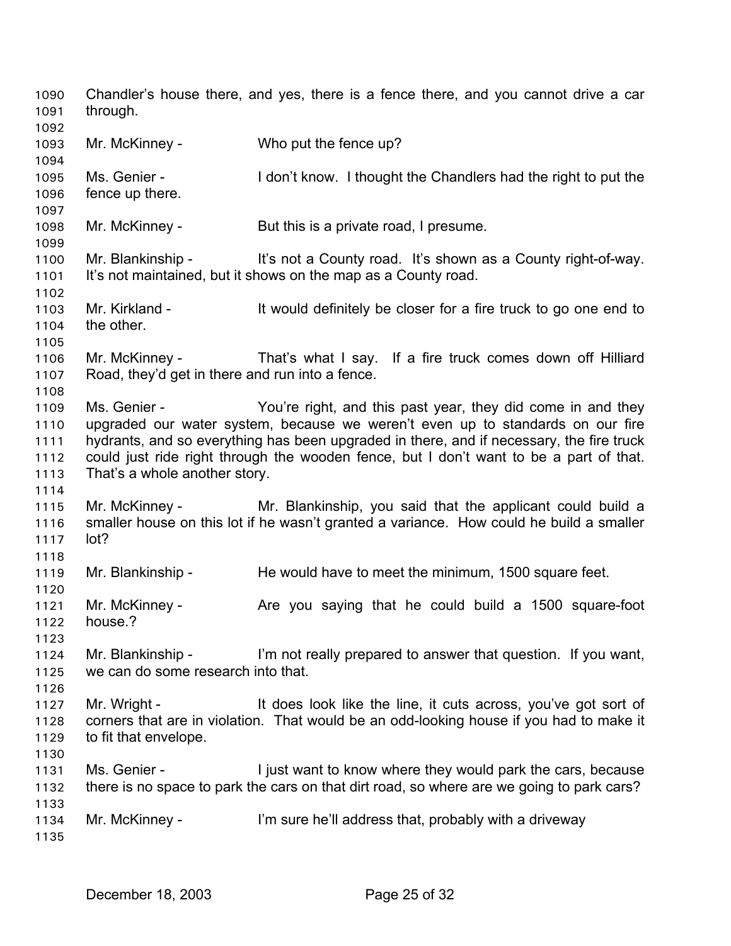Chandler's house there, and yes, there is a fence there, and you cannot drive a car through. 1090 1091 1092 1093 1094 1095 1096 1097 1098 1099 1100 1101 1102 1103 1104 1105 1106 1107 1108 1109 1110 1111 1112 1113 1114 1115 1116 1117 1118 1119 1120 1121 1122 1123 1124 1125 1126 1127 1128 1129 1130 1131 1132 1133 1134 1135 Mr. McKinney - Who put the fence up? Ms. Genier - I don't know. I thought the Chandlers had the right to put the fence up there. Mr. McKinney - But this is a private road, I presume. Mr. Blankinship - It's not a County road. It's shown as a County right-of-way. It's not maintained, but it shows on the map as a County road. Mr. Kirkland - It would definitely be closer for a fire truck to go one end to the other. Mr. McKinney - That's what I say. If a fire truck comes down off Hilliard Road, they'd get in there and run into a fence. Ms. Genier - The You're right, and this past year, they did come in and they upgraded our water system, because we weren't even up to standards on our fire hydrants, and so everything has been upgraded in there, and if necessary, the fire truck could just ride right through the wooden fence, but I don't want to be a part of that. That's a whole another story. Mr. McKinney - The Mr. Blankinship, you said that the applicant could build a smaller house on this lot if he wasn't granted a variance. How could he build a smaller lot? Mr. Blankinship - He would have to meet the minimum, 1500 square feet. Mr. McKinney - The you saying that he could build a 1500 square-foot house.? Mr. Blankinship - I'm not really prepared to answer that question. If you want, we can do some research into that. Mr. Wright - It does look like the line, it cuts across, you've got sort of corners that are in violation. That would be an odd-looking house if you had to make it to fit that envelope. Ms. Genier - I just want to know where they would park the cars, because there is no space to park the cars on that dirt road, so where are we going to park cars? Mr. McKinney - I'm sure he'll address that, probably with a driveway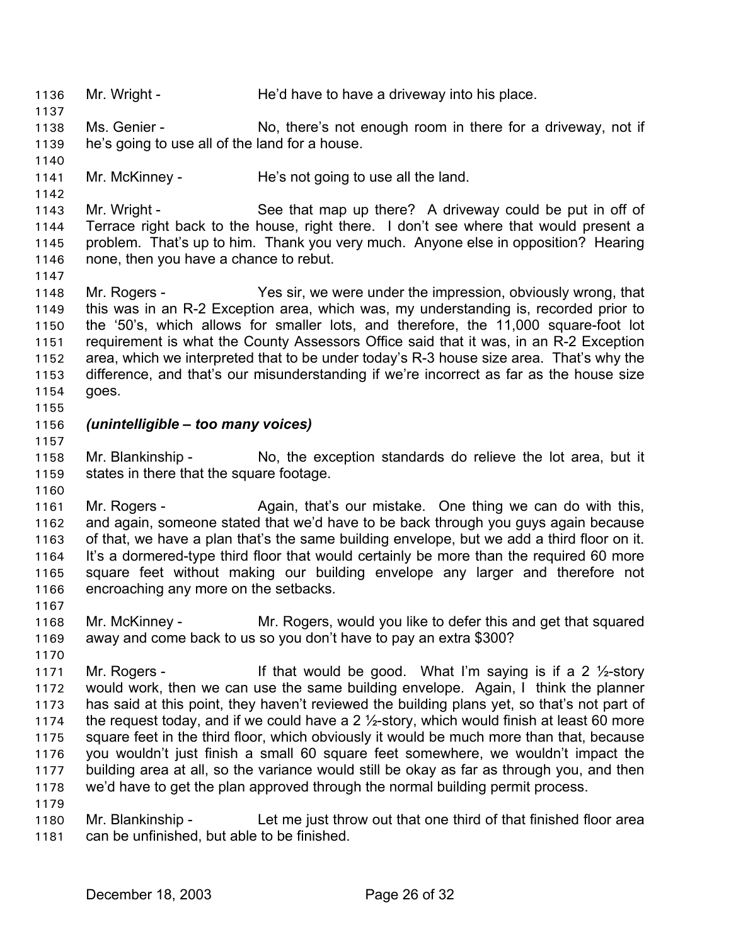1136 Mr. Wright - He'd have to have a driveway into his place.

- 1138 1139 Ms. Genier - No, there's not enough room in there for a driveway, not if he's going to use all of the land for a house.
- 1141 Mr. McKinney - He's not going to use all the land.

1143 1144 1145 1146 Mr. Wright - See that map up there? A driveway could be put in off of Terrace right back to the house, right there. I don't see where that would present a problem. That's up to him. Thank you very much. Anyone else in opposition? Hearing none, then you have a chance to rebut.

- 1148 1149 1150 1151 1152 1153 1154 Mr. Rogers - Yes sir, we were under the impression, obviously wrong, that this was in an R-2 Exception area, which was, my understanding is, recorded prior to the '50's, which allows for smaller lots, and therefore, the 11,000 square-foot lot requirement is what the County Assessors Office said that it was, in an R-2 Exception area, which we interpreted that to be under today's R-3 house size area. That's why the difference, and that's our misunderstanding if we're incorrect as far as the house size goes.
- 1155

1157

1160

1137

1140

1142

1147

### 1156 *(unintelligible – too many voices)*

1158 1159 Mr. Blankinship - No, the exception standards do relieve the lot area, but it states in there that the square footage.

1161 1162 1163 1164 1165 1166 Mr. Rogers - Again, that's our mistake. One thing we can do with this, and again, someone stated that we'd have to be back through you guys again because of that, we have a plan that's the same building envelope, but we add a third floor on it. It's a dormered-type third floor that would certainly be more than the required 60 more square feet without making our building envelope any larger and therefore not encroaching any more on the setbacks.

- 1167
- 1168 1169 Mr. McKinney - Mr. Rogers, would you like to defer this and get that squared away and come back to us so you don't have to pay an extra \$300?
- 1170 1171 1172 1173 1174 1175 1176 1177 1178 1179 Mr. Rogers - The state of that would be good. What I'm saying is if a 2  $\frac{1}{2}$ -story would work, then we can use the same building envelope. Again, I think the planner has said at this point, they haven't reviewed the building plans yet, so that's not part of the request today, and if we could have a 2  $\frac{1}{2}$ -story, which would finish at least 60 more square feet in the third floor, which obviously it would be much more than that, because you wouldn't just finish a small 60 square feet somewhere, we wouldn't impact the building area at all, so the variance would still be okay as far as through you, and then we'd have to get the plan approved through the normal building permit process.
- 1180 1181 Mr. Blankinship - Let me just throw out that one third of that finished floor area can be unfinished, but able to be finished.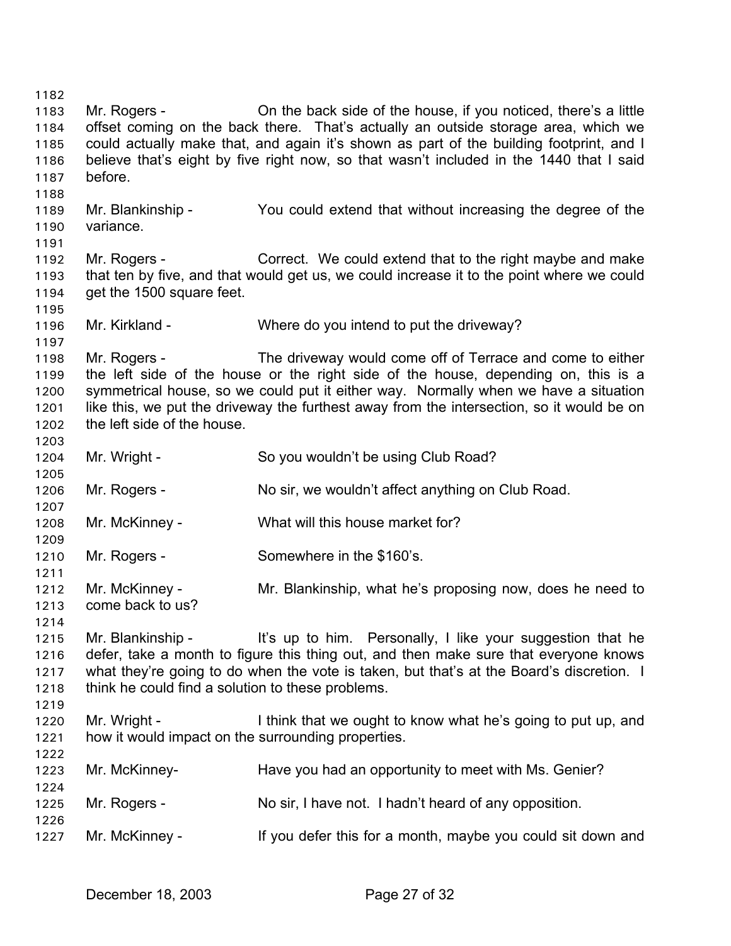1182 1183 1184 1185 1186 1187 1188 1189 1190 1191 1192 1193 1194 1195 1196 1197 1198 1199 1200 1201 1202 1203 1204 1205 1206 1207 1208 1209 1210 1211 1212 1213 1214 1215 1216 1217 1218 1219 1220 1221 1222 1223 1224 1225 1226 1227 Mr. Rogers - Christen back side of the house, if you noticed, there's a little offset coming on the back there. That's actually an outside storage area, which we could actually make that, and again it's shown as part of the building footprint, and I believe that's eight by five right now, so that wasn't included in the 1440 that I said before. Mr. Blankinship - You could extend that without increasing the degree of the variance. Mr. Rogers - Correct. We could extend that to the right maybe and make that ten by five, and that would get us, we could increase it to the point where we could get the 1500 square feet. Mr. Kirkland - Where do you intend to put the driveway? Mr. Rogers - The driveway would come off of Terrace and come to either the left side of the house or the right side of the house, depending on, this is a symmetrical house, so we could put it either way. Normally when we have a situation like this, we put the driveway the furthest away from the intersection, so it would be on the left side of the house. Mr. Wright - So you wouldn't be using Club Road? Mr. Rogers - No sir, we wouldn't affect anything on Club Road. Mr. McKinney - What will this house market for? Mr. Rogers - Somewhere in the \$160's. Mr. McKinney - Mr. Blankinship, what he's proposing now, does he need to come back to us? Mr. Blankinship - It's up to him. Personally, I like your suggestion that he defer, take a month to figure this thing out, and then make sure that everyone knows what they're going to do when the vote is taken, but that's at the Board's discretion. I think he could find a solution to these problems. Mr. Wright - I think that we ought to know what he's going to put up, and how it would impact on the surrounding properties. Mr. McKinney- Have you had an opportunity to meet with Ms. Genier? Mr. Rogers - No sir, I have not. I hadn't heard of any opposition. Mr. McKinney - The Must of the state of this for a month, maybe you could sit down and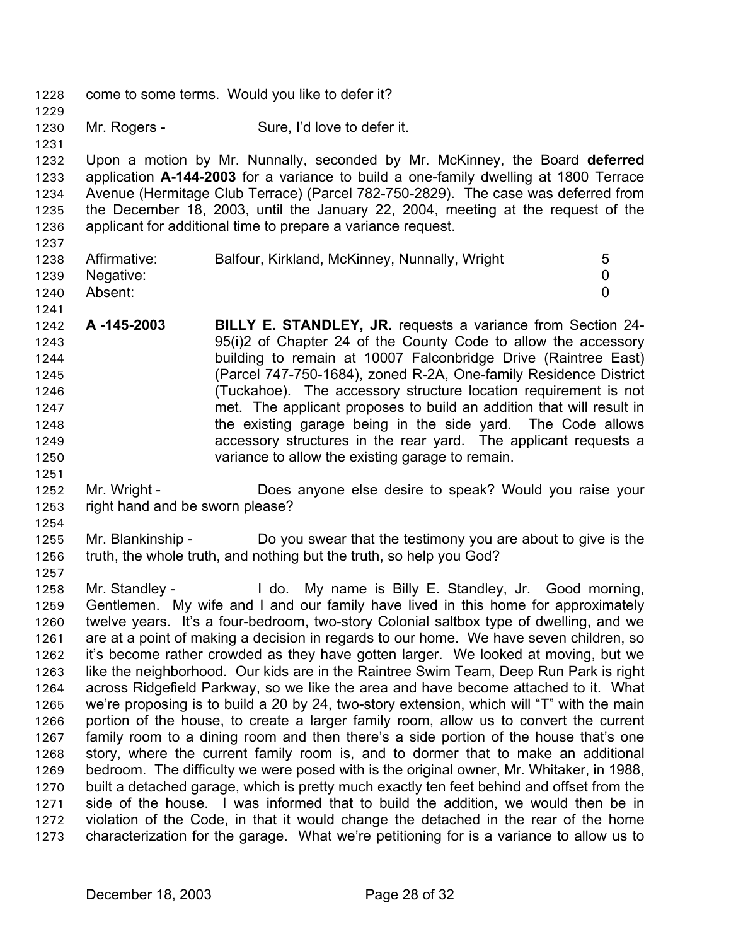- 1228 come to some terms. Would you like to defer it?
- 1230 Mr. Rogers - Sure, I'd love to defer it.

1232 1233 1234 1235 1236 Upon a motion by Mr. Nunnally, seconded by Mr. McKinney, the Board **deferred** application **A-144-2003** for a variance to build a one-family dwelling at 1800 Terrace Avenue (Hermitage Club Terrace) (Parcel 782-750-2829). The case was deferred from the December 18, 2003, until the January 22, 2004, meeting at the request of the applicant for additional time to prepare a variance request.

1237

1229

1231

| 1238 | Affirmative:   | Balfour, Kirkland, McKinney, Nunnally, Wright | 5 |
|------|----------------|-----------------------------------------------|---|
|      |                |                                               |   |
|      | 1239 Negative: |                                               |   |
| 1240 | Absent:        |                                               |   |
| 1241 |                |                                               |   |

- 1242 1243 1244 1245 1246 1247 1248 1249 1250 **A -145-2003 BILLY E. STANDLEY, JR.** requests a variance from Section 24- 95(i)2 of Chapter 24 of the County Code to allow the accessory building to remain at 10007 Falconbridge Drive (Raintree East) (Parcel 747-750-1684), zoned R-2A, One-family Residence District (Tuckahoe). The accessory structure location requirement is not met. The applicant proposes to build an addition that will result in the existing garage being in the side yard. The Code allows accessory structures in the rear yard. The applicant requests a variance to allow the existing garage to remain.
- 1252 1253 Mr. Wright - **Does anyone else desire to speak? Would you raise your** right hand and be sworn please?
- 1254

1251

1255 1256 1257 Mr. Blankinship - Do you swear that the testimony you are about to give is the truth, the whole truth, and nothing but the truth, so help you God?

1258 1259 1260 1261 1262 1263 1264 1265 1266 1267 1268 1269 1270 1271 1272 1273 Mr. Standley - The Lido. My name is Billy E. Standley, Jr. Good morning, Gentlemen. My wife and I and our family have lived in this home for approximately twelve years. It's a four-bedroom, two-story Colonial saltbox type of dwelling, and we are at a point of making a decision in regards to our home. We have seven children, so it's become rather crowded as they have gotten larger. We looked at moving, but we like the neighborhood. Our kids are in the Raintree Swim Team, Deep Run Park is right across Ridgefield Parkway, so we like the area and have become attached to it. What we're proposing is to build a 20 by 24, two-story extension, which will "T" with the main portion of the house, to create a larger family room, allow us to convert the current family room to a dining room and then there's a side portion of the house that's one story, where the current family room is, and to dormer that to make an additional bedroom. The difficulty we were posed with is the original owner, Mr. Whitaker, in 1988, built a detached garage, which is pretty much exactly ten feet behind and offset from the side of the house. I was informed that to build the addition, we would then be in violation of the Code, in that it would change the detached in the rear of the home characterization for the garage. What we're petitioning for is a variance to allow us to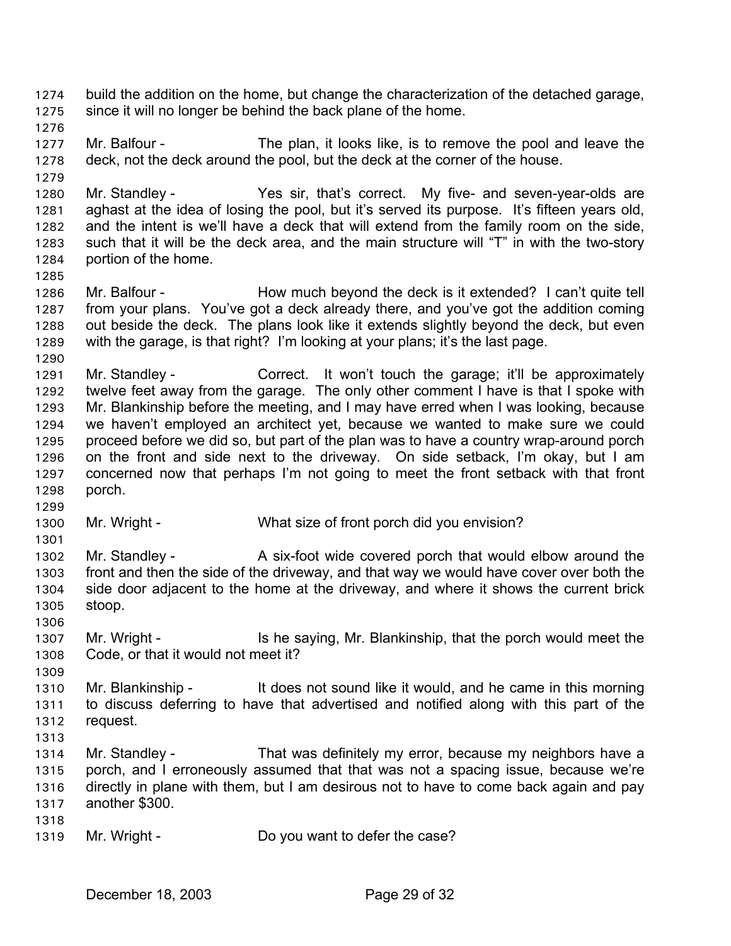- build the addition on the home, but change the characterization of the detached garage, since it will no longer be behind the back plane of the home. 1274 1275
- 1276

1279

1285

1290

1299

1306

1309

- 1277 1278 Mr. Balfour - The plan, it looks like, is to remove the pool and leave the deck, not the deck around the pool, but the deck at the corner of the house.
- 1280 1281 1282 1283 1284 Mr. Standley - The Yes sir, that's correct. My five- and seven-year-olds are aghast at the idea of losing the pool, but it's served its purpose. It's fifteen years old, and the intent is we'll have a deck that will extend from the family room on the side, such that it will be the deck area, and the main structure will "T" in with the two-story portion of the home.
- 1286 1287 1288 1289 Mr. Balfour - How much beyond the deck is it extended? I can't quite tell from your plans. You've got a deck already there, and you've got the addition coming out beside the deck. The plans look like it extends slightly beyond the deck, but even with the garage, is that right? I'm looking at your plans; it's the last page.
- 1291 1292 1293 1294 1295 1296 1297 1298 Mr. Standley - Correct. It won't touch the garage; it'll be approximately twelve feet away from the garage. The only other comment I have is that I spoke with Mr. Blankinship before the meeting, and I may have erred when I was looking, because we haven't employed an architect yet, because we wanted to make sure we could proceed before we did so, but part of the plan was to have a country wrap-around porch on the front and side next to the driveway. On side setback, I'm okay, but I am concerned now that perhaps I'm not going to meet the front setback with that front porch.
- 1300 Mr. Wright - What size of front porch did you envision?
- 1301 1302 1303 1304 1305 Mr. Standley - A six-foot wide covered porch that would elbow around the front and then the side of the driveway, and that way we would have cover over both the side door adjacent to the home at the driveway, and where it shows the current brick stoop.
- 1307 1308 Mr. Wright - Is he saying, Mr. Blankinship, that the porch would meet the Code, or that it would not meet it?
- 1310 1311 1312 Mr. Blankinship - It does not sound like it would, and he came in this morning to discuss deferring to have that advertised and notified along with this part of the request.
- 1313
- 1314 1315 1316 1317 Mr. Standley - That was definitely my error, because my neighbors have a porch, and I erroneously assumed that that was not a spacing issue, because we're directly in plane with them, but I am desirous not to have to come back again and pay another \$300.
- 1318
- 1319 Mr. Wright - Do you want to defer the case?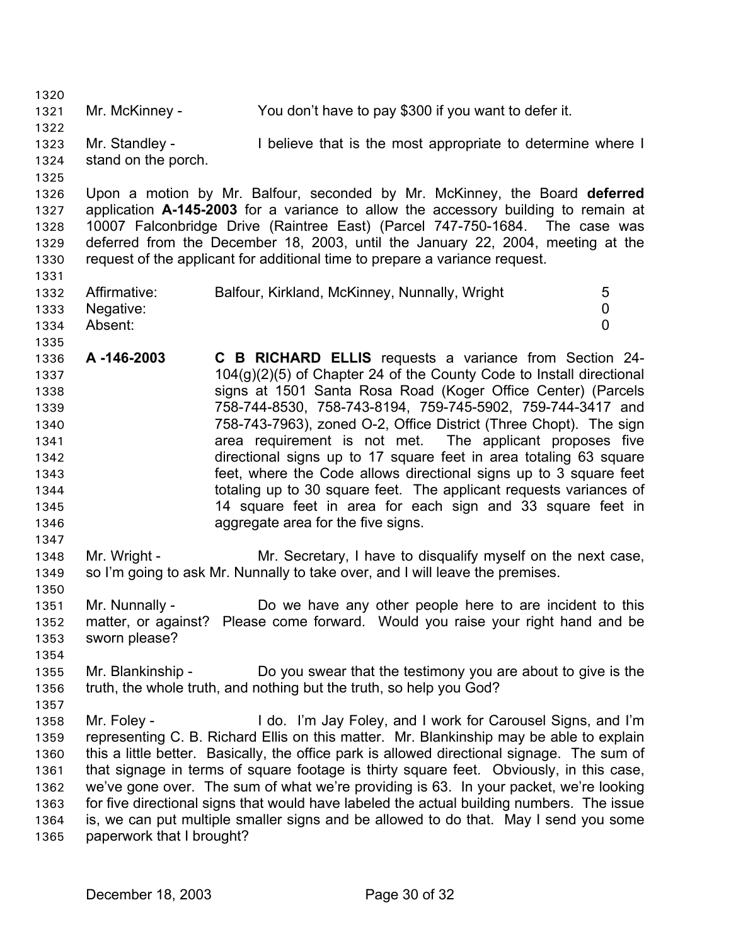1320 1321 1322 1323 1324 1325 1326 1327 1328 1329 1330 1331 1332 1333 1334 1335 1336 1337 1338 1339 1340 1341 1342 1343 1344 1345 1346 1347 1348 1349 1350 1351 1352 1353 1354 1355 1356 1357 1358 1359 1360 1361 1362 1363 1364 1365 Mr. McKinney - You don't have to pay \$300 if you want to defer it. Mr. Standley - I believe that is the most appropriate to determine where I stand on the porch. Upon a motion by Mr. Balfour, seconded by Mr. McKinney, the Board **deferred** application **A-145-2003** for a variance to allow the accessory building to remain at 10007 Falconbridge Drive (Raintree East) (Parcel 747-750-1684. The case was deferred from the December 18, 2003, until the January 22, 2004, meeting at the request of the applicant for additional time to prepare a variance request. Affirmative: Balfour, Kirkland, McKinney, Nunnally, Wright 5 Negative: 0 Absent: 0 **A -146-2003 C B RICHARD ELLIS** requests a variance from Section 24- 104(g)(2)(5) of Chapter 24 of the County Code to Install directional signs at 1501 Santa Rosa Road (Koger Office Center) (Parcels 758-744-8530, 758-743-8194, 759-745-5902, 759-744-3417 and 758-743-7963), zoned O-2, Office District (Three Chopt). The sign area requirement is not met. The applicant proposes five directional signs up to 17 square feet in area totaling 63 square feet, where the Code allows directional signs up to 3 square feet totaling up to 30 square feet. The applicant requests variances of 14 square feet in area for each sign and 33 square feet in aggregate area for the five signs. Mr. Wright - Mr. Secretary, I have to disqualify myself on the next case, so I'm going to ask Mr. Nunnally to take over, and I will leave the premises. Mr. Nunnally - Do we have any other people here to are incident to this matter, or against? Please come forward. Would you raise your right hand and be sworn please? Mr. Blankinship - Do you swear that the testimony you are about to give is the truth, the whole truth, and nothing but the truth, so help you God? Mr. Foley - The Music Hotel I'm Jay Foley, and I work for Carousel Signs, and I'm representing C. B. Richard Ellis on this matter. Mr. Blankinship may be able to explain this a little better. Basically, the office park is allowed directional signage. The sum of that signage in terms of square footage is thirty square feet. Obviously, in this case, we've gone over. The sum of what we're providing is 63. In your packet, we're looking for five directional signs that would have labeled the actual building numbers. The issue is, we can put multiple smaller signs and be allowed to do that. May I send you some paperwork that I brought?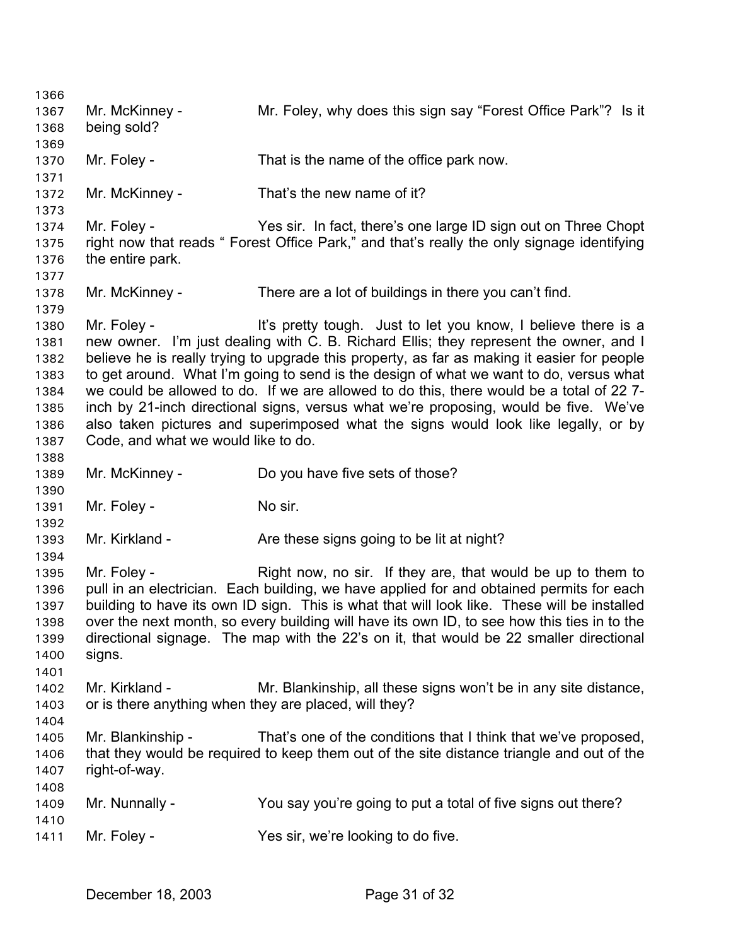1366 1367 1368 1369 1370 1371 1372 1373 1374 1375 1376 1377 1378 1379 1380 1381 1382 1383 1384 1385 1386 1387 1388 1389 1390 1391 1392 1393 1394 1395 1396 1397 1398 1399 1400 1401 1402 1403 1404 1405 1406 1407 1408 1409 1410 1411 Mr. McKinney - Mr. Foley, why does this sign say "Forest Office Park"? Is it being sold? Mr. Foley - That is the name of the office park now. Mr. McKinney - That's the new name of it? Mr. Foley - Yes sir. In fact, there's one large ID sign out on Three Chopt right now that reads " Forest Office Park," and that's really the only signage identifying the entire park. Mr. McKinney - There are a lot of buildings in there you can't find. Mr. Foley - It's pretty tough. Just to let you know, I believe there is a new owner. I'm just dealing with C. B. Richard Ellis; they represent the owner, and I believe he is really trying to upgrade this property, as far as making it easier for people to get around. What I'm going to send is the design of what we want to do, versus what we could be allowed to do. If we are allowed to do this, there would be a total of 22 7 inch by 21-inch directional signs, versus what we're proposing, would be five. We've also taken pictures and superimposed what the signs would look like legally, or by Code, and what we would like to do. Mr. McKinney - Do you have five sets of those? Mr. Foley - No sir. Mr. Kirkland - Are these signs going to be lit at night? Mr. Foley - The Right now, no sir. If they are, that would be up to them to pull in an electrician. Each building, we have applied for and obtained permits for each building to have its own ID sign. This is what that will look like. These will be installed over the next month, so every building will have its own ID, to see how this ties in to the directional signage. The map with the 22's on it, that would be 22 smaller directional signs. Mr. Kirkland - Mr. Blankinship, all these signs won't be in any site distance, or is there anything when they are placed, will they? Mr. Blankinship - That's one of the conditions that I think that we've proposed, that they would be required to keep them out of the site distance triangle and out of the right-of-way. Mr. Nunnally - You say you're going to put a total of five signs out there? Mr. Foley - Yes sir, we're looking to do five.